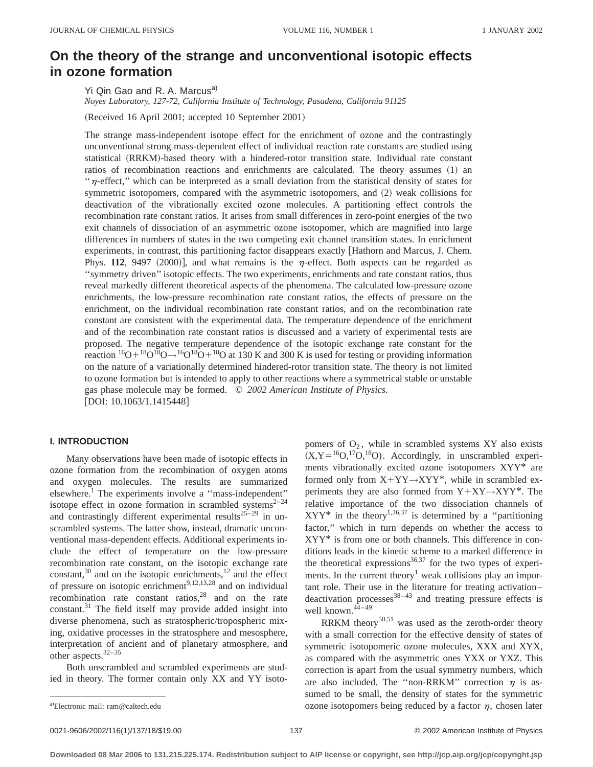# **On the theory of the strange and unconventional isotopic effects in ozone formation**

Yi Qin Gao and R. A. Marcus<sup>a)</sup>

*Noyes Laboratory, 127-72, California Institute of Technology, Pasadena, California 91125*

(Received 16 April 2001; accepted 10 September 2001)

The strange mass-independent isotope effect for the enrichment of ozone and the contrastingly unconventional strong mass-dependent effect of individual reaction rate constants are studied using statistical (RRKM)-based theory with a hindered-rotor transition state. Individual rate constant ratios of recombination reactions and enrichments are calculated. The theory assumes (1) an "n-effect," which can be interpreted as a small deviation from the statistical density of states for symmetric isotopomers, compared with the asymmetric isotopomers, and (2) weak collisions for deactivation of the vibrationally excited ozone molecules. A partitioning effect controls the recombination rate constant ratios. It arises from small differences in zero-point energies of the two exit channels of dissociation of an asymmetric ozone isotopomer, which are magnified into large differences in numbers of states in the two competing exit channel transition states. In enrichment experiments, in contrast, this partitioning factor disappears exactly [Hathorn and Marcus, J. Chem. Phys. **112**, 9497  $(2000)$ , and what remains is the  $\eta$ -effect. Both aspects can be regarded as ''symmetry driven'' isotopic effects. The two experiments, enrichments and rate constant ratios, thus reveal markedly different theoretical aspects of the phenomena. The calculated low-pressure ozone enrichments, the low-pressure recombination rate constant ratios, the effects of pressure on the enrichment, on the individual recombination rate constant ratios, and on the recombination rate constant are consistent with the experimental data. The temperature dependence of the enrichment and of the recombination rate constant ratios is discussed and a variety of experimental tests are proposed. The negative temperature dependence of the isotopic exchange rate constant for the reaction  ${}^{16}O+{}^{18}O+{}^{16}O+{}^{16}O+{}^{18}O$  at 130 K and 300 K is used for testing or providing information on the nature of a variationally determined hindered-rotor transition state. The theory is not limited to ozone formation but is intended to apply to other reactions where a symmetrical stable or unstable gas phase molecule may be formed. © *2002 American Institute of Physics.* [DOI: 10.1063/1.1415448]

### **I. INTRODUCTION**

Many observations have been made of isotopic effects in ozone formation from the recombination of oxygen atoms and oxygen molecules. The results are summarized elsewhere.<sup>1</sup> The experiments involve a "mass-independent" isotope effect in ozone formation in scrambled systems $2-24$ and contrastingly different experimental results<sup>25–29</sup> in unscrambled systems. The latter show, instead, dramatic unconventional mass-dependent effects. Additional experiments include the effect of temperature on the low-pressure recombination rate constant, on the isotopic exchange rate constant, $30$  and on the isotopic enrichments, $12$  and the effect of pressure on isotopic enrichment $^{9,12,13,28}$  and on individual recombination rate constant ratios, $28$  and on the rate constant.<sup>31</sup> The field itself may provide added insight into diverse phenomena, such as stratospheric/tropospheric mixing, oxidative processes in the stratosphere and mesosphere, interpretation of ancient and of planetary atmosphere, and other aspects.32–35

Both unscrambled and scrambled experiments are studied in theory. The former contain only XX and YY isoto-

pomers of  $O_2$ , while in scrambled systems XY also exists  $(X, Y = {^{16}O, ^{17}O, ^{18}O})$ . Accordingly, in unscrambled experiments vibrationally excited ozone isotopomers XYY\* are formed only from  $X+YY\rightarrow XYY^*$ , while in scrambled experiments they are also formed from  $Y+XY\rightarrow XYY^*$ . The relative importance of the two dissociation channels of  $XYY^*$  in the theory<sup>1,36,37</sup> is determined by a "partitioning" factor,'' which in turn depends on whether the access to XYY\* is from one or both channels. This difference in conditions leads in the kinetic scheme to a marked difference in the theoretical expressions $36,37$  for the two types of experiments. In the current theory<sup>1</sup> weak collisions play an important role. Their use in the literature for treating activation– deactivation processes $38-43$  and treating pressure effects is well known. $44-49$ 

RRKM theory<sup>50,51</sup> was used as the zeroth-order theory with a small correction for the effective density of states of symmetric isotopomeric ozone molecules, XXX and XYX, as compared with the asymmetric ones YXX or YXZ. This correction is apart from the usual symmetry numbers, which are also included. The "non-RRKM" correction  $\eta$  is assumed to be small, the density of states for the symmetric ozone isotopomers being reduced by a factor  $\eta$ , chosen later

a)Electronic mail: ram@caltech.edu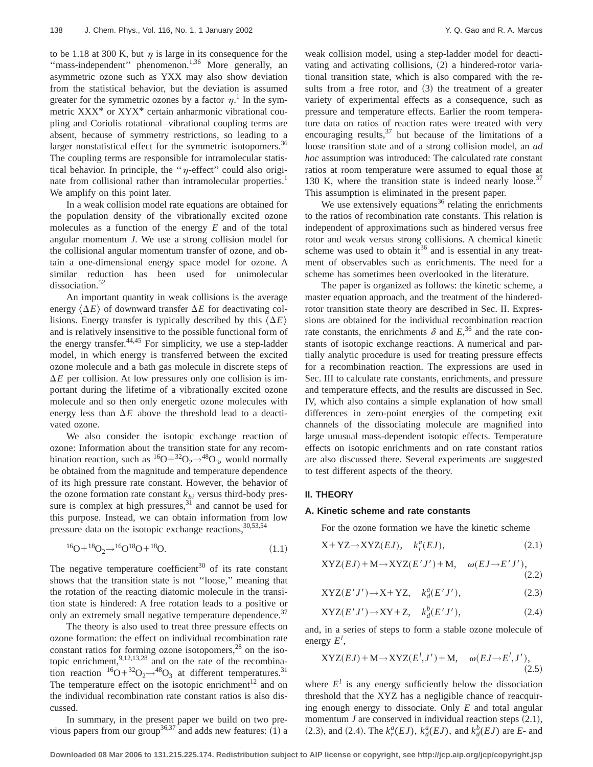to be 1.18 at 300 K, but  $\eta$  is large in its consequence for the "mass-independent" phenomenon.<sup>1,36</sup> More generally, an asymmetric ozone such as YXX may also show deviation from the statistical behavior, but the deviation is assumed greater for the symmetric ozones by a factor  $\eta$ .<sup>1</sup> In the symmetric XXX\* or XYX\* certain anharmonic vibrational coupling and Coriolis rotational–vibrational coupling terms are absent, because of symmetry restrictions, so leading to a larger nonstatistical effect for the symmetric isotopomers.<sup>36</sup> The coupling terms are responsible for intramolecular statistical behavior. In principle, the " $\eta$ -effect" could also originate from collisional rather than intramolecular properties.<sup>1</sup> We amplify on this point later.

In a weak collision model rate equations are obtained for the population density of the vibrationally excited ozone molecules as a function of the energy *E* and of the total angular momentum *J*. We use a strong collision model for the collisional angular momentum transfer of ozone, and obtain a one-dimensional energy space model for ozone. A similar reduction has been used for unimolecular dissociation.<sup>52</sup>

An important quantity in weak collisions is the average energy  $\langle \Delta E \rangle$  of downward transfer  $\Delta E$  for deactivating collisions. Energy transfer is typically described by this  $\langle \Delta E \rangle$ and is relatively insensitive to the possible functional form of the energy transfer. $44,45$  For simplicity, we use a step-ladder model, in which energy is transferred between the excited ozone molecule and a bath gas molecule in discrete steps of  $\Delta E$  per collision. At low pressures only one collision is important during the lifetime of a vibrationally excited ozone molecule and so then only energetic ozone molecules with energy less than  $\Delta E$  above the threshold lead to a deactivated ozone.

We also consider the isotopic exchange reaction of ozone: Information about the transition state for any recombination reaction, such as  ${}^{16}O+{}^{32}O_2\rightarrow {}^{48}O_3$ , would normally be obtained from the magnitude and temperature dependence of its high pressure rate constant. However, the behavior of the ozone formation rate constant  $k_{bi}$  versus third-body pressure is complex at high pressures, $31$  and cannot be used for this purpose. Instead, we can obtain information from low pressure data on the isotopic exchange reactions,  $30,53,54$ 

$$
{}^{16}O + {}^{18}O_2 \rightarrow {}^{16}O {}^{18}O + {}^{18}O. \tag{1.1}
$$

The negative temperature coefficient<sup>30</sup> of its rate constant shows that the transition state is not ''loose,'' meaning that the rotation of the reacting diatomic molecule in the transition state is hindered: A free rotation leads to a positive or only an extremely small negative temperature dependence.<sup>37</sup>

The theory is also used to treat three pressure effects on ozone formation: the effect on individual recombination rate constant ratios for forming ozone isotopomers,<sup>28</sup> on the isotopic enrichment, $^{9,12,13,28}$  and on the rate of the recombination reaction  ${}^{16}O+{}^{32}O_2\rightarrow {}^{48}O_3$  at different temperatures.<sup>31</sup> The temperature effect on the isotopic enrichment<sup>12</sup> and on the individual recombination rate constant ratios is also discussed.

In summary, in the present paper we build on two previous papers from our group<sup>36,37</sup> and adds new features:  $(1)$  a weak collision model, using a step-ladder model for deactivating and activating collisions,  $(2)$  a hindered-rotor variational transition state, which is also compared with the results from a free rotor, and  $(3)$  the treatment of a greater variety of experimental effects as a consequence, such as pressure and temperature effects. Earlier the room temperature data on ratios of reaction rates were treated with very encouraging results,  $37$  but because of the limitations of a loose transition state and of a strong collision model, an *ad hoc* assumption was introduced: The calculated rate constant ratios at room temperature were assumed to equal those at 130 K, where the transition state is indeed nearly loose.<sup>37</sup> This assumption is eliminated in the present paper.

We use extensively equations $36$  relating the enrichments to the ratios of recombination rate constants. This relation is independent of approximations such as hindered versus free rotor and weak versus strong collisions. A chemical kinetic scheme was used to obtain  $it^{36}$  and is essential in any treatment of observables such as enrichments. The need for a scheme has sometimes been overlooked in the literature.

The paper is organized as follows: the kinetic scheme, a master equation approach, and the treatment of the hinderedrotor transition state theory are described in Sec. II. Expressions are obtained for the individual recombination reaction rate constants, the enrichments  $\delta$  and  $E$ <sup>36</sup>, and the rate constants of isotopic exchange reactions. A numerical and partially analytic procedure is used for treating pressure effects for a recombination reaction. The expressions are used in Sec. III to calculate rate constants, enrichments, and pressure and temperature effects, and the results are discussed in Sec. IV, which also contains a simple explanation of how small differences in zero-point energies of the competing exit channels of the dissociating molecule are magnified into large unusual mass-dependent isotopic effects. Temperature effects on isotopic enrichments and on rate constant ratios are also discussed there. Several experiments are suggested to test different aspects of the theory.

### **II. THEORY**

#### **A. Kinetic scheme and rate constants**

For the ozone formation we have the kinetic scheme

$$
X+YZ \to XYZ(EJ), \quad k_r^a(EJ), \tag{2.1}
$$

$$
XYZ(EJ) + M \rightarrow XYZ(E'J') + M, \quad \omega(EJ \rightarrow E'J'),
$$
\n(2.2)

$$
XYZ(E'J') \to X+YZ, \quad k_d^a(E'J'), \tag{2.3}
$$

$$
XYZ(E'J') \to XY + Z, \quad k_d^b(E'J'), \tag{2.4}
$$

and, in a series of steps to form a stable ozone molecule of energy *E<sup>l</sup>* ,

$$
XYZ(EJ) + M \rightarrow XYZ(E^l, J') + M, \quad \omega(EJ \rightarrow E^l, J'),
$$
\n(2.5)

where  $E^l$  is any energy sufficiently below the dissociation threshold that the XYZ has a negligible chance of reacquiring enough energy to dissociate. Only *E* and total angular momentum  $J$  are conserved in individual reaction steps  $(2.1)$ ,  $(2.3)$ , and  $(2.4)$ . The  $k_r^a(EJ)$ ,  $k_d^a(EJ)$ , and  $k_d^b(EJ)$  are *E*- and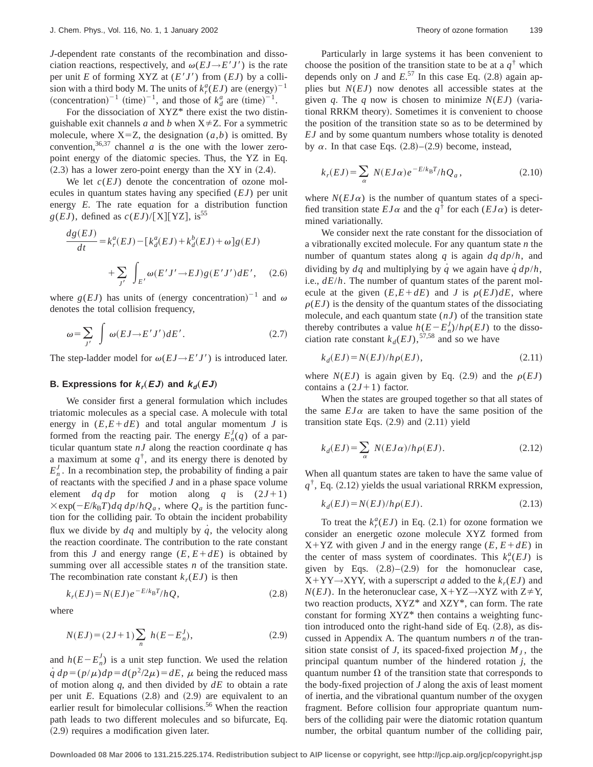*J*-dependent rate constants of the recombination and dissociation reactions, respectively, and  $\omega(EJ \rightarrow E'J')$  is the rate per unit *E* of forming XYZ at  $(E'J')$  from  $(EJ)$  by a collision with a third body M. The units of  $k_r^a(EJ)$  are  $(\text{energy})^{-1}$ (concentration)<sup>-1</sup> (time)<sup>-1</sup>, and those of  $k_d^a$  are (time)<sup>-1</sup>.

For the dissociation of  $XYZ^*$  there exist the two distinguishable exit channels *a* and *b* when  $X \neq Z$ . For a symmetric molecule, where  $X = Z$ , the designation  $(a, b)$  is omitted. By convention,  $36,37$  channel *a* is the one with the lower zeropoint energy of the diatomic species. Thus, the YZ in Eq.  $(2.3)$  has a lower zero-point energy than the XY in  $(2.4)$ .

We let  $c(EJ)$  denote the concentration of ozone molecules in quantum states having any specified (*EJ*) per unit energy *E*. The rate equation for a distribution function  $g(EJ)$ , defined as  $c(EJ)/[X][YZ]$ , is<sup>55</sup>

$$
\frac{dg(EJ)}{dt} = k_r^a(EJ) - [k_d^a(EJ) + k_d^b(EJ) + \omega]g(EJ)
$$

$$
+ \sum_{J'} \int_{E'} \omega(E'J' \to EJ)g(E'J')dE', \quad (2.6)
$$

where  $g(EJ)$  has units of (energy concentration)<sup>-1</sup> and  $\omega$ denotes the total collision frequency,

$$
\omega = \sum_{J'} \int \omega(EJ \to E'J') dE'.
$$
 (2.7)

The step-ladder model for  $\omega(EJ \rightarrow E'J')$  is introduced later.

### **B.** Expressions for  $k_r(EJ)$  and  $k_d(EJ)$

We consider first a general formulation which includes triatomic molecules as a special case. A molecule with total energy in  $(E, E + dE)$  and total angular momentum *J* is formed from the reacting pair. The energy  $E_n^J(q)$  of a particular quantum state *nJ* along the reaction coordinate *q* has a maximum at some  $q^{\dagger}$ , and its energy there is denoted by  $E_n^J$ . In a recombination step, the probability of finding a pair of reactants with the specified *J* and in a phase space volume element  $dq \, dp$  for motion along q is  $(2J+1)$  $\times$ exp( $-E/k_BT)$ *dq dp*/*h*Q<sub>a</sub>, where  $Q_a$  is the partition function for the colliding pair. To obtain the incident probability flux we divide by  $dq$  and multiply by  $q$ , the velocity along the reaction coordinate. The contribution to the rate constant from this *J* and energy range  $(E, E+dE)$  is obtained by summing over all accessible states *n* of the transition state. The recombination rate constant  $k_r(EJ)$  is then

$$
k_r(EJ) = N(EJ)e^{-E/k_BT}/hQ,
$$
\n(2.8)

where

$$
N(EJ) = (2J+1)\sum_{n} h(E - E_n^J),
$$
\n(2.9)

and  $h(E - E_n^J)$  is a unit step function. We used the relation  $\dot{q}$   $dp = (p/\mu)dp = d(p^2/2\mu) = dE$ ,  $\mu$  being the reduced mass of motion along *q*, and then divided by *dE* to obtain a rate per unit  $E$ . Equations  $(2.8)$  and  $(2.9)$  are equivalent to an earlier result for bimolecular collisions.<sup>56</sup> When the reaction path leads to two different molecules and so bifurcate, Eq.  $(2.9)$  requires a modification given later.

Particularly in large systems it has been convenient to choose the position of the transition state to be at a  $q^{\dagger}$  which depends only on *J* and  $E^{57}$  In this case Eq.  $(2.8)$  again applies but *N*(*EJ*) now denotes all accessible states at the given *q*. The *q* now is chosen to minimize  $N(EJ)$  (variational RRKM theory). Sometimes it is convenient to choose the position of the transition state so as to be determined by *EJ* and by some quantum numbers whose totality is denoted by  $\alpha$ . In that case Eqs.  $(2.8)$ – $(2.9)$  become, instead,

$$
k_r(EJ) = \sum_{\alpha} N(EJ\alpha)e^{-E/k_BT}/hQ_a, \qquad (2.10)
$$

where  $N(EJ\alpha)$  is the number of quantum states of a specified transition state  $EJ\alpha$  and the  $q^{\dagger}$  for each  $(EJ\alpha)$  is determined variationally.

We consider next the rate constant for the dissociation of a vibrationally excited molecule. For any quantum state *n* the number of quantum states along *q* is again *dq dp*/*h*, and dividing by  $dq$  and multiplying by  $q$  we again have  $q \, dp/h$ , i.e., *dE*/*h*. The number of quantum states of the parent molecule at the given  $(E, E + dE)$  and *J* is  $\rho(EJ) dE$ , where  $\rho(EJ)$  is the density of the quantum states of the dissociating molecule, and each quantum state (*nJ*) of the transition state thereby contributes a value  $h(E - E_n^J)/h\rho(EJ)$  to the dissociation rate constant  $k_d(EJ)$ ,<sup>57,58</sup> and so we have

$$
k_d(EJ) = N(EJ)/h\rho(EJ),\tag{2.11}
$$

where  $N(EJ)$  is again given by Eq. (2.9) and the  $\rho(EJ)$ contains a  $(2J+1)$  factor.

When the states are grouped together so that all states of the same  $EJ\alpha$  are taken to have the same position of the transition state Eqs.  $(2.9)$  and  $(2.11)$  yield

$$
k_d(EJ) = \sum_{\alpha} N(EJ\alpha)/h\rho(EJ). \tag{2.12}
$$

When all quantum states are taken to have the same value of  $q^{\dagger}$ , Eq. (2.12) yields the usual variational RRKM expression,

$$
k_d(EJ) = N(EJ)/h\rho(EJ). \tag{2.13}
$$

To treat the  $k_r^a(EJ)$  in Eq. (2.1) for ozone formation we consider an energetic ozone molecule XYZ formed from  $X+YZ$  with given *J* and in the energy range (*E*,  $E+dE$ ) in the center of mass system of coordinates. This  $k_r^a(EJ)$  is given by Eqs.  $(2.8)$ – $(2.9)$  for the homonuclear case,  $X+YY\rightarrow XYY$ , with a superscript *a* added to the  $k_r(EJ)$  and  $N(EJ)$ . In the heteronuclear case,  $X+YZ \rightarrow XYZ$  with  $Z \neq Y$ , two reaction products, XYZ\* and XZY\*, can form. The rate constant for forming XYZ\* then contains a weighting function introduced onto the right-hand side of Eq.  $(2.8)$ , as discussed in Appendix A. The quantum numbers *n* of the transition state consist of *J*, its spaced-fixed projection  $M<sub>J</sub>$ , the principal quantum number of the hindered rotation *j*, the quantum number  $\Omega$  of the transition state that corresponds to the body-fixed projection of *J* along the axis of least moment of inertia, and the vibrational quantum number of the oxygen fragment. Before collision four appropriate quantum numbers of the colliding pair were the diatomic rotation quantum number, the orbital quantum number of the colliding pair,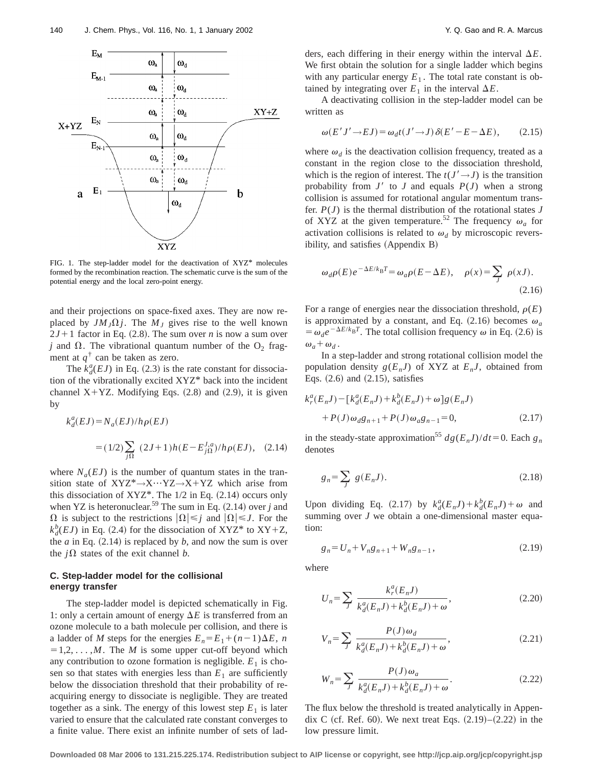

FIG. 1. The step-ladder model for the deactivation of XYZ\* molecules formed by the recombination reaction. The schematic curve is the sum of the potential energy and the local zero-point energy.

and their projections on space-fixed axes. They are now replaced by  $JM_J\Omega j$ . The  $M_J$  gives rise to the well known  $2J+1$  factor in Eq. (2.8). The sum over *n* is now a sum over *j* and  $\Omega$ . The vibrational quantum number of the  $O_2$  fragment at  $q^{\dagger}$  can be taken as zero.

The  $k_d^a(EJ)$  in Eq. (2.3) is the rate constant for dissociation of the vibrationally excited XYZ\* back into the incident channel  $X+YZ$ . Modifying Eqs.  $(2.8)$  and  $(2.9)$ , it is given by

$$
k_d^a(EJ) = N_a(EJ)/h\rho(EJ)
$$
  
= (1/2)  $\sum_{j\Omega} (2J+1)h(E - E_{j\Omega}^{J,a})/h\rho(EJ)$ , (2.14)

where  $N_a(EJ)$  is the number of quantum states in the transition state of  $XYZ^* \rightarrow X \cdots YZ \rightarrow X+YZ$  which arise from this dissociation of  $XYZ^*$ . The 1/2 in Eq. (2.14) occurs only when YZ is heteronuclear.<sup>59</sup> The sum in Eq.  $(2.14)$  over *j* and  $\Omega$  is subject to the restrictions  $|\Omega| \leq j$  and  $|\Omega| \leq J$ . For the  $k_d^b$ (*EJ*) in Eq. (2.4) for the dissociation of XYZ\* to XY+Z, the  $a$  in Eq.  $(2.14)$  is replaced by  $b$ , and now the sum is over the  $j\Omega$  states of the exit channel *b*.

## **C. Step-ladder model for the collisional energy transfer**

The step-ladder model is depicted schematically in Fig. 1: only a certain amount of energy  $\Delta E$  is transferred from an ozone molecule to a bath molecule per collision, and there is a ladder of *M* steps for the energies  $E_n = E_1 + (n-1)\Delta E$ , *n*  $=1,2,\ldots,M$ . The *M* is some upper cut-off beyond which any contribution to ozone formation is negligible.  $E_1$  is chosen so that states with energies less than  $E_1$  are sufficiently below the dissociation threshold that their probability of reacquiring energy to dissociate is negligible. They are treated together as a sink. The energy of this lowest step  $E_1$  is later varied to ensure that the calculated rate constant converges to a finite value. There exist an infinite number of sets of ladders, each differing in their energy within the interval  $\Delta E$ . We first obtain the solution for a single ladder which begins with any particular energy  $E_1$ . The total rate constant is obtained by integrating over  $E_1$  in the interval  $\Delta E$ .

A deactivating collision in the step-ladder model can be written as

$$
\omega(E'J' \to EJ) = \omega_d t (J' \to J) \,\delta(E' - E - \Delta E),\tag{2.15}
$$

where  $\omega_d$  is the deactivation collision frequency, treated as a constant in the region close to the dissociation threshold, which is the region of interest. The  $t(J' \rightarrow J)$  is the transition probability from  $J'$  to  $J$  and equals  $P(J)$  when a strong collision is assumed for rotational angular momentum transfer.  $P(J)$  is the thermal distribution of the rotational states  $J$ of XYZ at the given temperature.<sup>52</sup> The frequency  $\omega_a$  for activation collisions is related to  $\omega_d$  by microscopic reversibility, and satisfies (Appendix B)

$$
\omega_d \rho(E) e^{-\Delta E/k_B T} = \omega_a \rho(E - \Delta E), \quad \rho(x) = \sum_j \rho(xJ).
$$
\n(2.16)

For a range of energies near the dissociation threshold,  $\rho(E)$ is approximated by a constant, and Eq.  $(2.16)$  becomes  $\omega_a$  $= \omega_d e^{-\Delta E/k_B T}$ . The total collision frequency  $\omega$  in Eq. (2.6) is  $\omega_a + \omega_d$ .

In a step-ladder and strong rotational collision model the population density  $g(E_nJ)$  of XYZ at  $E_nJ$ , obtained from Eqs.  $(2.6)$  and  $(2.15)$ , satisfies

$$
k_r^a(E_n J) - [k_d^a(E_n J) + k_d^b(E_n J) + \omega]g(E_n J) + P(J)\omega_d g_{n+1} + P(J)\omega_a g_{n-1} = 0,
$$
\n(2.17)

in the steady-state approximation<sup>55</sup>  $dg(E_nJ)/dt=0$ . Each  $g_n$ denotes

$$
g_n = \sum_J g(E_n J). \tag{2.18}
$$

Upon dividing Eq. (2.17) by  $k_d^a(E_n J) + k_d^b(E_n J) + \omega$  and summing over *J* we obtain a one-dimensional master equation:

$$
g_n = U_n + V_n g_{n+1} + W_n g_{n-1},
$$
\n(2.19)

where

$$
U_n = \sum_J \frac{k_f^a(E_n J)}{k_d^a(E_n J) + k_d^b(E_n J) + \omega},
$$
\n(2.20)

$$
V_n = \sum_J \frac{P(J)\omega_d}{k_d^a(E_n J) + k_d^b(E_n J) + \omega},
$$
\n(2.21)

$$
W_n = \sum_J \frac{P(J)\omega_a}{k_d^a(E_n J) + k_d^b(E_n J) + \omega}.
$$
 (2.22)

The flux below the threshold is treated analytically in Appendix C (cf. Ref. 60). We next treat Eqs.  $(2.19)–(2.22)$  in the low pressure limit.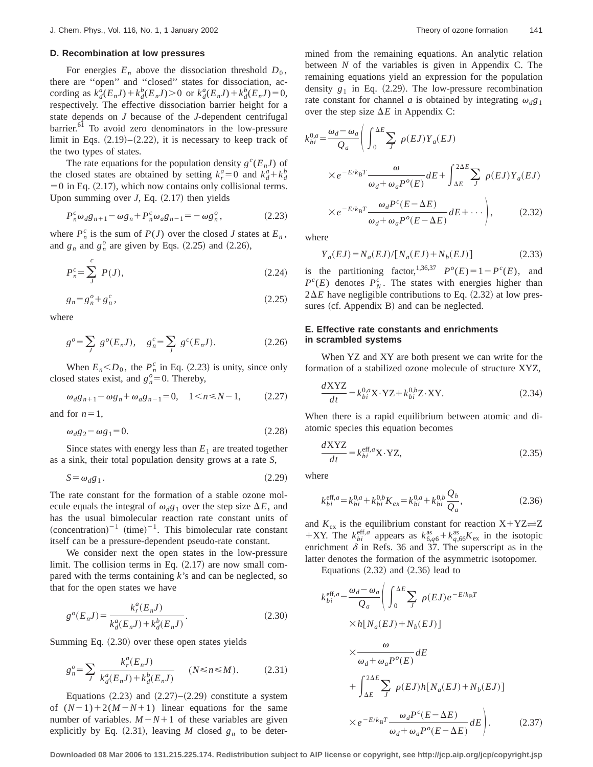### **D. Recombination at low pressures**

For energies  $E_n$  above the dissociation threshold  $D_0$ , there are ''open'' and ''closed'' states for dissociation, according as  $k_d^{\bar{a}}(E_n J) + k_d^b(E_n J) > 0$  or  $k_d^a(E_n J) + k_d^b(E_n J) = 0$ , respectively. The effective dissociation barrier height for a state depends on *J* because of the *J*-dependent centrifugal barrier.<sup>61</sup> To avoid zero denominators in the low-pressure limit in Eqs.  $(2.19)$ – $(2.22)$ , it is necessary to keep track of the two types of states.

The rate equations for the population density  $g^{c}(E_nJ)$  of the closed states are obtained by setting  $k_r^a = 0$  and  $k_d^a + k_d^b$  $=0$  in Eq. (2.17), which now contains only collisional terms. Upon summing over  $J$ , Eq.  $(2.17)$  then yields

$$
P_n^c \omega_d g_{n+1} - \omega g_n + P_n^c \omega_a g_{n-1} = -\omega g_n^o, \qquad (2.23)
$$

where  $P_n^c$  is the sum of  $P(J)$  over the closed *J* states at  $E_n$ , and  $g_n$  and  $g_n^o$  are given by Eqs. (2.25) and (2.26),

$$
P_n^c = \sum_{j}^{c} P(j), \tag{2.24}
$$

$$
g_n = g_n^o + g_n^c, \t\t(2.25)
$$

where

$$
g^{o} = \sum_{J} g^{o}(E_{n}J), \quad g_{n}^{c} = \sum_{J} g^{c}(E_{n}J). \tag{2.26}
$$

When  $E_n < D_0$ , the  $P_n^c$  in Eq. (2.23) is unity, since only closed states exist, and  $g_n^o = 0$ . Thereby,

$$
\omega_d g_{n+1} - \omega g_n + \omega_a g_{n-1} = 0, \quad 1 < n \le N - 1,\tag{2.27}
$$

and for  $n=1$ ,

$$
\omega_d g_2 - \omega g_1 = 0. \tag{2.28}
$$

Since states with energy less than  $E_1$  are treated together as a sink, their total population density grows at a rate *S*,

$$
S = \omega_d g_1. \tag{2.29}
$$

The rate constant for the formation of a stable ozone molecule equals the integral of  $\omega_d g_1$  over the step size  $\Delta E$ , and has the usual bimolecular reaction rate constant units of  $(concentration)^{-1}$  (time)<sup>-1</sup>. This bimolecular rate constant itself can be a pressure-dependent pseudo-rate constant.

We consider next the open states in the low-pressure limit. The collision terms in Eq.  $(2.17)$  are now small compared with the terms containing *k*'s and can be neglected, so that for the open states we have

$$
g^{o}(E_n J) = \frac{k_r^a(E_n J)}{k_d^a(E_n J) + k_d^b(E_n J)}.
$$
\n(2.30)

Summing Eq.  $(2.30)$  over these open states yields

$$
g_n^o = \sum_J \frac{k_f^a(E_n J)}{k_d^a(E_n J) + k_d^b(E_n J)} \qquad (N \le n \le M). \tag{2.31}
$$

Equations  $(2.23)$  and  $(2.27)$ – $(2.29)$  constitute a system of  $(N-1)+2(M-N+1)$  linear equations for the same number of variables.  $M-N+1$  of these variables are given explicitly by Eq.  $(2.31)$ , leaving *M* closed  $g_n$  to be determined from the remaining equations. An analytic relation between *N* of the variables is given in Appendix C. The remaining equations yield an expression for the population density  $g_1$  in Eq.  $(2.29)$ . The low-pressure recombination rate constant for channel *a* is obtained by integrating  $\omega_d g_1$ over the step size  $\Delta E$  in Appendix C:

$$
k_{bi}^{0,a} = \frac{\omega_d - \omega_a}{Q_a} \left( \int_0^{\Delta E} \sum_J \rho(EJ) Y_a(EJ) \right)
$$
  
 
$$
\times e^{-E/k_B T} \frac{\omega}{\omega_d + \omega_a P^o(E)} dE + \int_{\Delta E}^{2\Delta E} \sum_J \rho(EJ) Y_a(EJ) \right)
$$
  
 
$$
\times e^{-E/k_B T} \frac{\omega_d P^c(E - \Delta E)}{\omega_d + \omega_a P^o(E - \Delta E)} dE + \cdots \right), \qquad (2.32)
$$

where

$$
Y_a(EJ) = N_a(EJ) / [N_a(EJ) + N_b(EJ)] \tag{2.33}
$$

is the partitioning factor,<sup>1,36,37</sup>  $P^o(E) = 1 - P^c(E)$ , and  $P^{c}(E)$  denotes  $P_{N}^{c}$ . The states with energies higher than  $2\Delta E$  have negligible contributions to Eq.  $(2.32)$  at low pressures  $(cf.$  Appendix B) and can be neglected.

### **E. Effective rate constants and enrichments in scrambled systems**

When YZ and XY are both present we can write for the formation of a stabilized ozone molecule of structure XYZ,

$$
\frac{dXYZ}{dt} = k_{bi}^{0,a}X \cdot YZ + k_{bi}^{0,b}Z \cdot XY.
$$
 (2.34)

When there is a rapid equilibrium between atomic and diatomic species this equation becomes

$$
\frac{dXYZ}{dt} = k_{bi}^{\text{eff},a} X \cdot YZ,
$$
\n(2.35)

where

$$
k_{bi}^{\text{eff},a} = k_{bi}^{0,a} + k_{bi}^{0,b} K_{ex} = k_{bi}^{0,a} + k_{bi}^{0,b} \frac{Q_b}{Q_a},
$$
\n(2.36)

and  $K_{\text{ex}}$  is the equilibrium constant for reaction  $X+YZ \rightleftharpoons Z$ +XY. The  $k_{bi}^{\text{eff},a}$  appears as  $k_{6,q6}^{as} + k_{q,66}^{as}K_{ex}$  in the isotopic enrichment  $\delta$  in Refs. 36 and 37. The superscript as in the latter denotes the formation of the asymmetric isotopomer.

Equations  $(2.32)$  and  $(2.36)$  lead to

$$
k_{bi}^{\text{eff},a} = \frac{\omega_d - \omega_a}{Q_a} \left( \int_0^{\Delta E} \sum_J \rho(EJ) e^{-E/k_B T} \times h[N_a(EJ) + N_b(EJ)] \right)
$$
  
 
$$
\times \frac{\omega}{\omega_d + \omega_a P^o(E)} dE
$$
  
+ 
$$
\int_{\Delta E}^{2\Delta E} \sum_J \rho(EJ) h[N_a(EJ) + N_b(EJ)] \times e^{-E/k_B T} \frac{\omega_d P^c(E - \Delta E)}{\omega_d + \omega_a P^o(E - \Delta E)} dE \right). \tag{2.37}
$$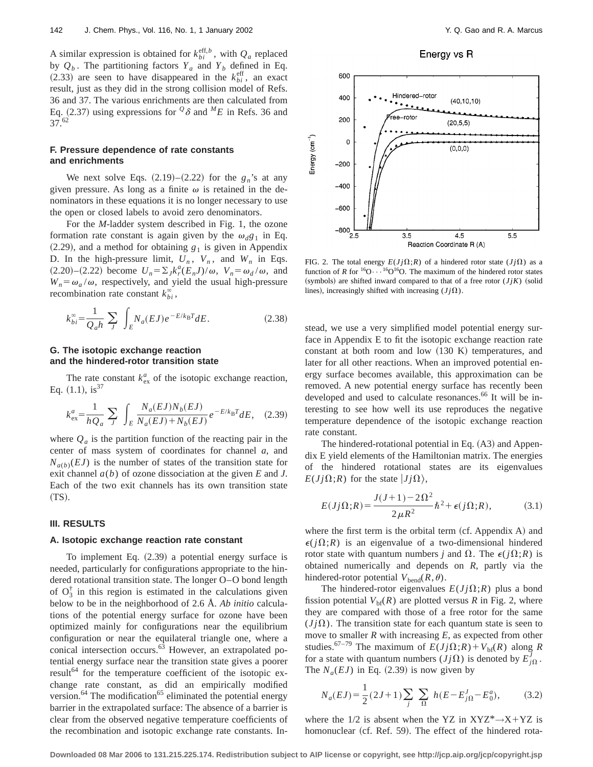A similar expression is obtained for  $k_{bi}^{\text{eff},b}$ , with  $Q_a$  replaced by  $Q_b$ . The partitioning factors  $Y_a$  and  $Y_b$  defined in Eq.  $(2.33)$  are seen to have disappeared in the  $k_{bi}^{\text{eff}}$ , an exact result, just as they did in the strong collision model of Refs. 36 and 37. The various enrichments are then calculated from Eq. (2.37) using expressions for  $\mathcal{Q}\delta$  and  $^M$ E in Refs. 36 and 37.62

### **F. Pressure dependence of rate constants and enrichments**

We next solve Eqs.  $(2.19)$ – $(2.22)$  for the  $g_n$ 's at any given pressure. As long as a finite  $\omega$  is retained in the denominators in these equations it is no longer necessary to use the open or closed labels to avoid zero denominators.

For the *M*-ladder system described in Fig. 1, the ozone formation rate constant is again given by the  $\omega_d g_1$  in Eq.  $(2.29)$ , and a method for obtaining  $g_1$  is given in Appendix D. In the high-pressure limit,  $U_n$ ,  $V_n$ , and  $W_n$  in Eqs.  $(2.20)$ – $(2.22)$  become  $U_n = \sum_j k_r^a (E_n J)/\omega$ ,  $V_n = \omega_d/\omega$ , and  $W_n = \omega_a / \omega$ , respectively, and yield the usual high-pressure recombination rate constant  $k_{bi}^{\infty}$ ,

$$
k_{bi}^{\infty} = \frac{1}{Q_a h} \sum_{J} \int_{E} N_a(EJ) e^{-E/k_B T} dE.
$$
 (2.38)

### **G. The isotopic exchange reaction and the hindered-rotor transition state**

The rate constant  $k_{\text{ex}}^a$  of the isotopic exchange reaction, Eq.  $(1.1)$ , is<sup>37</sup>

$$
k_{\text{ex}}^{a} = \frac{1}{hQ_{a}} \sum_{J} \int_{E} \frac{N_{a}(EJ)N_{b}(EJ)}{N_{a}(EJ) + N_{b}(EJ)} e^{-E/k_{\text{B}}T} dE, \quad (2.39)
$$

where  $Q_a$  is the partition function of the reacting pair in the center of mass system of coordinates for channel *a*, and  $N_{a(b)}(EJ)$  is the number of states of the transition state for exit channel *a*(*b*) of ozone dissociation at the given *E* and *J*. Each of the two exit channels has its own transition state ~TS!.

#### **III. RESULTS**

#### **A. Isotopic exchange reaction rate constant**

To implement Eq.  $(2.39)$  a potential energy surface is needed, particularly for configurations appropriate to the hindered rotational transition state. The longer O–O bond length of  $O_3^{\dagger}$  in this region is estimated in the calculations given below to be in the neighborhood of 2.6 Å. *Ab initio* calculations of the potential energy surface for ozone have been optimized mainly for configurations near the equilibrium configuration or near the equilateral triangle one, where a conical intersection occurs.<sup>63</sup> However, an extrapolated potential energy surface near the transition state gives a poorer result<sup>64</sup> for the temperature coefficient of the isotopic exchange rate constant, as did an empirically modified version. $64$  The modification $65$  eliminated the potential energy barrier in the extrapolated surface: The absence of a barrier is clear from the observed negative temperature coefficients of the recombination and isotopic exchange rate constants. In-

Energy vs R



FIG. 2. The total energy  $E(J_j \Omega; R)$  of a hindered rotor state  $(J_j \Omega)$  as a function of *R* for <sup>16</sup>O· $\cdots$ <sup>16</sup>O<sup>16</sup>O. The maximum of the hindered rotor states (symbols) are shifted inward compared to that of a free rotor  $(JjK)$  (solid lines), increasingly shifted with increasing  $(J<sub>j</sub>\Omega)$ .

stead, we use a very simplified model potential energy surface in Appendix E to fit the isotopic exchange reaction rate constant at both room and low  $(130 K)$  temperatures, and later for all other reactions. When an improved potential energy surface becomes available, this approximation can be removed. A new potential energy surface has recently been developed and used to calculate resonances.<sup>66</sup> It will be interesting to see how well its use reproduces the negative temperature dependence of the isotopic exchange reaction rate constant.

The hindered-rotational potential in Eq.  $(A3)$  and Appendix E yield elements of the Hamiltonian matrix. The energies of the hindered rotational states are its eigenvalues  $E(Jj\Omega;R)$  for the state  $|Jj\Omega\rangle$ ,

$$
E(Jj\Omega;R) = \frac{J(J+1) - 2\Omega^2}{2\mu R^2} \hbar^2 + \epsilon(j\Omega;R),
$$
 (3.1)

where the first term is the orbital term  $(cf.$  Appendix A) and  $\epsilon(j\Omega;R)$  is an eigenvalue of a two-dimensional hindered rotor state with quantum numbers *j* and  $\Omega$ . The  $\epsilon(j\Omega;R)$  is obtained numerically and depends on *R*, partly via the hindered-rotor potential  $V_{\text{bend}}(R,\theta)$ .

The hindered-rotor eigenvalues  $E(Jj\Omega;R)$  plus a bond fission potential  $V_{\text{bf}}(R)$  are plotted versus *R* in Fig. 2, where they are compared with those of a free rotor for the same  $(J<sub>j</sub>\Omega)$ . The transition state for each quantum state is seen to move to smaller *R* with increasing *E*, as expected from other studies.<sup>67-79</sup> The maximum of  $E(Jj\Omega;R) + V_{\text{bf}(R)}$  along *R* for a state with quantum numbers  $(Jj\Omega)$  is denoted by  $E'_{j\Omega}$ . The  $N_a(EJ)$  in Eq. (2.39) is now given by

$$
N_a(EJ) = \frac{1}{2}(2J+1)\sum_j \sum_{\Omega} h(E - E_{j\Omega}^J - E_0^a),
$$
 (3.2)

where the 1/2 is absent when the YZ in XYZ\* $\rightarrow$ X+YZ is homonuclear (cf. Ref. 59). The effect of the hindered rota-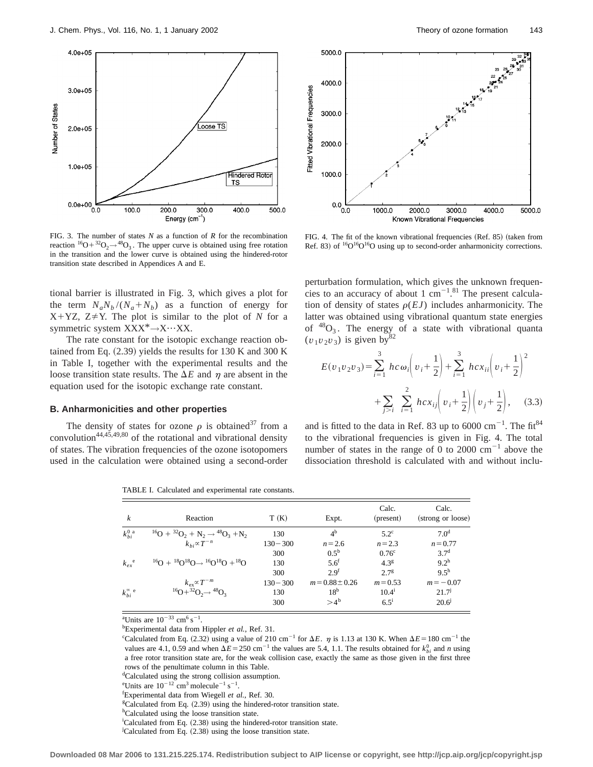

FIG. 3. The number of states *N* as a function of *R* for the recombination reaction  ${}^{16}O+{}^{32}O_2\rightarrow {}^{48}O_3$ . The upper curve is obtained using free rotation in the transition and the lower curve is obtained using the hindered-rotor transition state described in Appendices A and E.

tional barrier is illustrated in Fig. 3, which gives a plot for the term  $N_aN_b/(N_a+N_b)$  as a function of energy for  $X+YZ$ ,  $Z \neq Y$ . The plot is similar to the plot of *N* for a symmetric system XXX<sup>\*</sup>→X…XX.

The rate constant for the isotopic exchange reaction obtained from Eq.  $(2.39)$  yields the results for 130 K and 300 K in Table I, together with the experimental results and the loose transition state results. The  $\Delta E$  and  $\eta$  are absent in the equation used for the isotopic exchange rate constant.

#### **B. Anharmonicities and other properties**

The density of states for ozone  $\rho$  is obtained<sup>37</sup> from a convolution<sup>44,45,49,80</sup> of the rotational and vibrational density of states. The vibration frequencies of the ozone isotopomers used in the calculation were obtained using a second-order

TABLE I. Calculated and experimental rate constants.

| k                         | Reaction                                                  | T(K)        | Expt.               | Calc.<br>(present) | Calc.<br>(strong or loose) |
|---------------------------|-----------------------------------------------------------|-------------|---------------------|--------------------|----------------------------|
| $k_{bi}^{0}$ <sup>a</sup> | $^{16}O + ^{32}O_2 + N_2 \rightarrow ^{48}O_3 + N_2$      | 130         | 4 <sup>b</sup>      | $5.2^\circ$        | 7.0 <sup>d</sup>           |
|                           | $k_{bi} \propto T^{-n}$                                   | $130 - 300$ | $n = 2.6$           | $n = 2.3$          | $n = 0.77$                 |
|                           |                                                           | 300         | $0.5^{\rm b}$       | 0.76 <sup>c</sup>  | 3.7 <sup>d</sup>           |
| $k_{ex}^{\quad e}$        | $^{16}O + ^{18}O^{18}O \rightarrow ^{16}O^{18}O + ^{18}O$ | 130         | $5.6^t$             | $4.3^{8}$          | $9.2^h$                    |
|                           |                                                           | 300         | $2.9^{t}$           | 2.7 <sup>g</sup>   | $9.5^{\rm h}$              |
|                           | $k_{\rm ex}$ $\propto$ $T^{-m}$                           | $130 - 300$ | $m = 0.88 \pm 0.26$ | $m = 0.53$         | $m = -0.07$                |
| $k_{bi}^{\infty}$ e       | ${}^{16}O+{}^{32}O_2 \rightarrow {}^{48}O_3$              | 130         | 18 <sup>b</sup>     | $10.4^{i}$         | 21.7 <sup>j</sup>          |
|                           |                                                           | 300         | $>4^{\rm b}$        | $6.5^{i}$          | 20.6 <sup>j</sup>          |

<sup>a</sup>Units are  $10^{-33}$  cm<sup>6</sup> s<sup>-1</sup>.

b Experimental data from Hippler *et al.*, Ref. 31.

"Calculated from Eq. (2.32) using a value of 210 cm<sup>-1</sup> for  $\Delta E$ .  $\eta$  is 1.13 at 130 K. When  $\Delta E = 180$  cm<sup>-1</sup> the values are 4.1, 0.59 and when  $\Delta E = 250 \text{ cm}^{-1}$  the values are 5.4, 1.1. The results obtained for  $k_{bi}^0$  and *n* using a free rotor transition state are, for the weak collision case, exactly the same as those given in the first three rows of the penultimate column in this Table.

<sup>d</sup>Calculated using the strong collision assumption.

- <sup>i</sup>Calculated from Eq. (2.38) using the hindered-rotor transition state.
- $\overline{C}$ calculated from Eq. (2.38) using the loose transition state.



FIG. 4. The fit of the known vibrational frequencies (Ref. 85) (taken from Ref. 83) of  ${}^{16}O{}^{16}O$  using up to second-order anharmonicity corrections.

perturbation formulation, which gives the unknown frequencies to an accuracy of about 1  $cm^{-1.81}$  The present calculation of density of states  $\rho(EJ)$  includes anharmonicity. The latter was obtained using vibrational quantum state energies of  ${}^{48}O_3$ . The energy of a state with vibrational quanta  $(v_1v_2v_3)$  is given by<sup>82</sup>

$$
E(v_1v_2v_3) = \sum_{i=1}^3 hc\omega_i \left(v_i + \frac{1}{2}\right) + \sum_{i=1}^3 hcx_{ii} \left(v_i + \frac{1}{2}\right)^2
$$
  
+ 
$$
\sum_{j>i} \sum_{i=1}^2 hcx_{ij} \left(v_i + \frac{1}{2}\right) \left(v_j + \frac{1}{2}\right), \quad (3.3)
$$

and is fitted to the data in Ref. 83 up to 6000  $\text{cm}^{-1}$ . The fit<sup>84</sup> to the vibrational frequencies is given in Fig. 4. The total number of states in the range of 0 to 2000  $cm^{-1}$  above the dissociation threshold is calculated with and without inclu-

<sup>&</sup>lt;sup>e</sup>Units are  $10^{-12}$  cm<sup>3</sup> molecule<sup>-1</sup> s<sup>-1</sup>.

f Experimental data from Wiegell *et al.*, Ref. 30.

 $C$ alculated from Eq. (2.39) using the hindered-rotor transition state.

hCalculated using the loose transition state.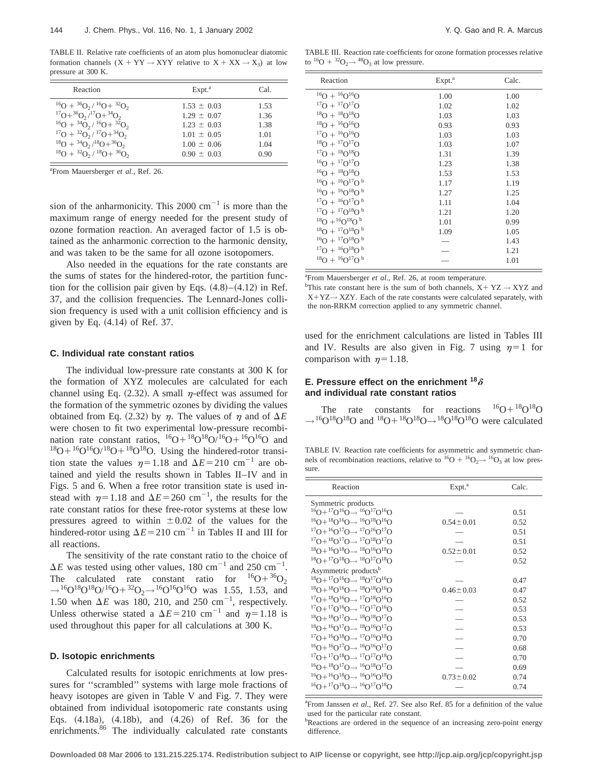TABLE II. Relative rate coefficients of an atom plus homonuclear diatomic formation channels  $(X + YY \rightarrow XYY$  relative to  $X + XX \rightarrow X_3$ ) at low pressure at 300 K.

| Reaction                                      | Expt. <sup>a</sup> | Cal. |
|-----------------------------------------------|--------------------|------|
| $^{16}O + {36O_2}/ {16O_7} + {32O_2}$         | $1.53 \pm 0.03$    | 1.53 |
| $^{17}O+^{36}O_2/^{17}O+^{34}O_2$             | $1.29 \pm 0.07$    | 1.36 |
| $^{16}O + {^{34}O_2}/{^{16}O} + {^{32}O_2}$   | $1.23 \pm 0.03$    | 1.38 |
| $^{17}O + {^{32}O_2} / {^{17}O + {^{34}O_2}}$ | $1.01 \pm 0.05$    | 1.01 |
| $^{18}O + {34}O_2/ {18}O + {36}O_2$           | $1.00 \pm 0.06$    | 1.04 |
| $^{18}O + {^{32}O_2} / {^{18}O + {^{36}O_2}}$ | $0.90 \pm 0.03$    | 0.90 |

a From Mauersberger *et al.*, Ref. 26.

sion of the anharmonicity. This 2000  $\text{cm}^{-1}$  is more than the maximum range of energy needed for the present study of ozone formation reaction. An averaged factor of 1.5 is obtained as the anharmonic correction to the harmonic density, and was taken to be the same for all ozone isotopomers.

Also needed in the equations for the rate constants are the sums of states for the hindered-rotor, the partition function for the collision pair given by Eqs.  $(4.8)–(4.12)$  in Ref. 37, and the collision frequencies. The Lennard-Jones collision frequency is used with a unit collision efficiency and is given by Eq.  $(4.14)$  of Ref. 37.

### **C. Individual rate constant ratios**

The individual low-pressure rate constants at 300 K for the formation of XYZ molecules are calculated for each channel using Eq.  $(2.32)$ . A small  $\eta$ -effect was assumed for the formation of the symmetric ozones by dividing the values obtained from Eq. (2.32) by  $\eta$ . The values of  $\eta$  and of  $\Delta E$ were chosen to fit two experimental low-pressure recombination rate constant ratios,  ${}^{16}O+{}^{18}O^{18}O+{}^{16}O+{}^{16}O$  and  $^{18}O+{}^{16}O/{}^{18}O+{}^{18}O{}^{18}O$ . Using the hindered-rotor transition state the values  $\eta=1.18$  and  $\Delta E=210$  cm<sup>-1</sup> are obtained and yield the results shown in Tables II–IV and in Figs. 5 and 6. When a free rotor transition state is used instead with  $\eta=1.18$  and  $\Delta E=260$  cm<sup>-1</sup>, the results for the rate constant ratios for these free-rotor systems at these low pressures agreed to within  $\pm 0.02$  of the values for the hindered-rotor using  $\Delta E = 210 \text{ cm}^{-1}$  in Tables II and III for all reactions.

The sensitivity of the rate constant ratio to the choice of  $\Delta E$  was tested using other values, 180 cm<sup>-1</sup> and 250 cm<sup>-1</sup>. The calculated rate constant ratio for  ${}^{16}O+{}^{36}O_2$  $\rightarrow$ <sup>16</sup>O<sup>18</sup>O<sup>18</sup>O/<sup>16</sup>O+<sup>32</sup>O<sub>2</sub>→<sup>16</sup>O<sup>16</sup>O<sup>16</sup>O was 1.55, 1.53, and 1.50 when  $\Delta E$  was 180, 210, and 250 cm<sup>-1</sup>, respectively. Unless otherwise stated a  $\Delta E = 210$  cm<sup>-1</sup> and  $\eta = 1.18$  is used throughout this paper for all calculations at 300 K.

#### **D. Isotopic enrichments**

Calculated results for isotopic enrichments at low pressures for ''scrambled'' systems with large mole fractions of heavy isotopes are given in Table V and Fig. 7. They were obtained from individual isotopomeric rate constants using Eqs.  $(4.18a)$ ,  $(4.18b)$ , and  $(4.26)$  of Ref. 36 for the enrichments.<sup>86</sup> The individually calculated rate constants

TABLE III. Reaction rate coefficients for ozone formation processes relative to  ${}^{16}O + {}^{32}O_2 \rightarrow {}^{48}O_3$  at low pressure.

| Reaction                                | Expt. <sup>a</sup> | Calc. |
|-----------------------------------------|--------------------|-------|
| $^{16}O + {^{16}O}^{16}O$               | 1.00               | 1.00  |
| $^{17}O + ^{17}O$ $^{17}O$              | 1.02               | 1.02  |
| $^{18}$ O + $^{18}$ O $^{18}$ O         | 1.03               | 1.03  |
| $^{18}O + {^{16}O}^{16}O$               | 0.93               | 0.93  |
| $^{17}O + {^{16}O}^{16}O$               | 1.03               | 1.03  |
| $^{18}O + ^{17}O^{17}O$                 | 1.03               | 1.07  |
| $^{17}O + ^{18}O^{18}O$                 | 1.31               | 1.39  |
| $^{16}O + ^{17}O^{17}O$                 | 1.23               | 1.38  |
| $^{16}O + ^{18}O^{18}O$                 | 1.53               | 1.53  |
| $^{16}O + {^{16}O}^{17}O^b$             | 1.17               | 1.19  |
| $^{16}$ O + $^{16}$ O $^{18}$ O $^{6}$  | 1.27               | 1.25  |
| $^{17}O + ^{16}O$ $^{17}O$ <sup>b</sup> | 1.11               | 1.04  |
| $^{17}$ O + $^{17}$ O $^{18}$ O $^{6}$  | 1.21               | 1.20  |
| $^{18}O + ^{16}O$ $^{18}O$ $^{b}$       | 1.01               | 0.99  |
| $^{18}O + ^{17}O^{18}O^{b}$             | 1.09               | 1.05  |
| $^{16}$ O + $^{17}$ O $^{18}$ O $^{6}$  |                    | 1.43  |
| $^{17}O + ^{16}O^{18}O^b$               |                    | 1.21  |
| $^{18}$ O + $^{16}$ O $^{17}$ O b       |                    | 1.01  |

<sup>a</sup> From Mauersberger et al., Ref. 26, at room temperature.

<sup>b</sup>This rate constant here is the sum of both channels,  $X + YZ \rightarrow XYZ$  and  $X+YZ \rightarrow XZY$ . Each of the rate constants were calculated separately, with the non-RRKM correction applied to any symmetric channel.

used for the enrichment calculations are listed in Tables III and IV. Results are also given in Fig. 7 using  $\eta=1$  for comparison with  $\eta=1.18$ .

### **E. Pressure effect on the enrichment**  $18\delta$ **and individual rate constant ratios**

The rate constants for reactions  ${}^{16}O+{}^{18}O{}^{18}O$  $\rightarrow$ <sup>16</sup>O<sup>18</sup>O<sup>18</sup>O and <sup>18</sup>O+<sup>18</sup>O<sup>18</sup>O→<sup>18</sup>O<sup>18</sup>O<sup>18</sup>O were calculated

TABLE IV. Reaction rate coefficients for asymmetric and symmetric channels of recombination reactions, relative to  ${}^{16}O + {}^{16}O_2 \rightarrow {}^{16}O_3$  at low pressure.

| Reaction                                                                  | Expt. <sup>a</sup> | Calc. |
|---------------------------------------------------------------------------|--------------------|-------|
| Symmetric products                                                        |                    |       |
| ${}^{16}O+{}^{17}O$ ${}^{16}O \rightarrow {}^{16}O$ ${}^{17}O$ ${}^{16}O$ |                    | 0.51  |
| ${}^{16}O+{}^{18}O{}^{16}O \rightarrow {}^{16}O{}^{18}O{}^{16}O$          | $0.54 + 0.01$      | 0.52  |
| ${}^{17}O+{}^{16}O{}^{17}O \rightarrow {}^{17}O{}^{16}O{}^{17}O$          |                    | 0.51  |
| ${}^{17}O+{}^{18}O{}^{17}O \rightarrow {}^{17}O{}^{18}O{}^{17}O$          |                    | 0.51  |
| ${}^{18}O+{}^{16}O{}^{18}O \rightarrow {}^{18}O{}^{16}O{}^{18}O$          | $0.52 \pm 0.01$    | 0.52  |
| ${}^{18}O+{}^{17}O{}^{18}O \rightarrow {}^{18}O{}^{17}O{}^{18}O$          |                    | 0.52  |
| Asymmetric products <sup>b</sup>                                          |                    |       |
| ${}^{18}O+{}^{17}O{}^{16}O \rightarrow {}^{18}O{}^{17}O{}^{16}O$          |                    | 0.47  |
| ${}^{18}O+{}^{18}O{}^{16}O \rightarrow {}^{18}O{}^{18}O{}^{16}O$          | $0.46 \pm 0.03$    | 0.47  |
| ${}^{17}O+{}^{18}O{}^{16}O \rightarrow {}^{17}O{}^{18}O{}^{16}O$          |                    | 0.52  |
| ${}^{17}O+{}^{17}O{}^{16}O \rightarrow {}^{17}O{}^{17}O{}^{16}O$          |                    | 0.53  |
| ${}^{18}O+{}^{18}O{}^{17}O \rightarrow {}^{18}O{}^{18}O{}^{17}O$          |                    | 0.53  |
| ${}^{18}O+{}^{16}O{}^{17}O \rightarrow {}^{18}O{}^{16}O{}^{17}O$          |                    | 0.53  |
| ${}^{17}O+{}^{16}O{}^{18}O \rightarrow {}^{17}O{}^{16}O{}^{18}O$          |                    | 0.70  |
| ${}^{16}O+{}^{16}O$ ${}^{17}O \rightarrow {}^{16}O$ ${}^{16}O$ ${}^{17}O$ |                    | 0.68  |
| ${}^{17}O+{}^{17}O{}^{18}O \rightarrow {}^{17}O{}^{17}O{}^{18}O$          |                    | 0.70  |
| ${}^{16}O+{}^{18}O{}^{17}O \rightarrow {}^{16}O{}^{18}O{}^{17}O$          |                    | 0.69  |
| ${}^{16}O+{}^{16}O{}^{18}O \rightarrow {}^{16}O{}^{16}O{}^{18}O$          | $0.73 \pm 0.02$    | 0.74  |
| ${}^{16}O+{}^{17}O{}^{18}O \rightarrow {}^{16}O{}^{17}O{}^{18}O$          |                    | 0.74  |

<sup>a</sup> From Janssen et al., Ref. 27. See also Ref. 85 for a definition of the value used for the particular rate constant.

<sup>b</sup>Reactions are ordered in the sequence of an increasing zero-point energy difference.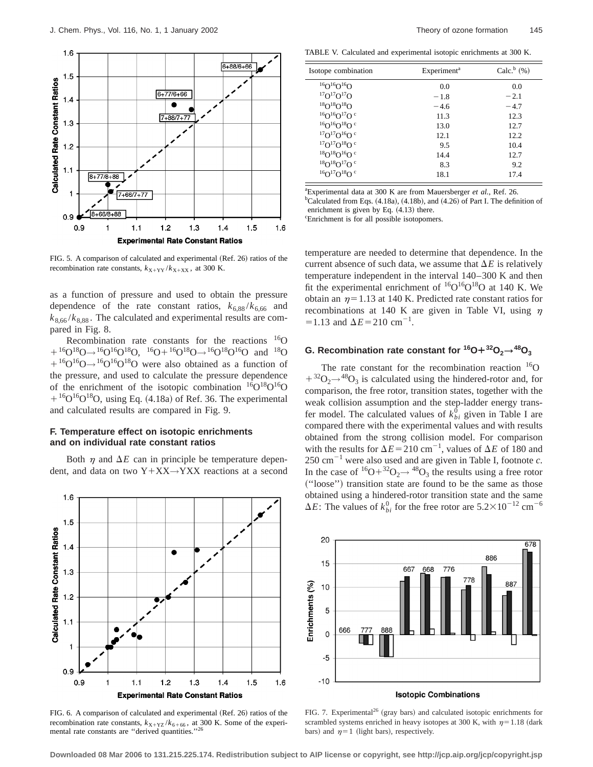

FIG. 5. A comparison of calculated and experimental (Ref. 26) ratios of the recombination rate constants,  $k_{X+YY}/k_{X+XX}$ , at 300 K.

as a function of pressure and used to obtain the pressure dependence of the rate constant ratios,  $k_{6,88}$ / $k_{6,66}$  and  $k_{8,66}$ / $k_{8,88}$ . The calculated and experimental results are compared in Fig. 8.

Recombination rate constants for the reactions 16O  $116O^{18}O \rightarrow 16O^{16}O^{18}O$ ,  $16O + 16O^{18}O \rightarrow 16O^{18}O^{16}O$  and  $18O$  $1^{16}O^{16}O \rightarrow 1^{16}O^{16}O^{18}O$  were also obtained as a function of the pressure, and used to calculate the pressure dependence of the enrichment of the isotopic combination  ${}^{16}O^{18}O^{16}O$  $+{}^{16}O^{16}O^{18}O$ , using Eq. (4.18a) of Ref. 36. The experimental and calculated results are compared in Fig. 9.

## **F. Temperature effect on isotopic enrichments and on individual rate constant ratios**

Both  $\eta$  and  $\Delta E$  can in principle be temperature dependent, and data on two  $Y+XX\rightarrow YXX$  reactions at a second



TABLE V. Calculated and experimental isotopic enrichments at 300 K.

| Isotope combination                | Experiment <sup>a</sup> | Calc. $b$ (%) |  |
|------------------------------------|-------------------------|---------------|--|
| ${}^{16}O$ ${}^{16}O$ ${}^{16}O$   | 0.0                     | 0.0           |  |
| ${}^{17}O$ ${}^{17}O$ ${}^{17}O$   | $-1.8$                  | $-2.1$        |  |
| $18O^{18}O^{18}O$                  | $-4.6$                  | $-4.7$        |  |
| $^{16}O^{16}O^{17}O^{c}$           | 11.3                    | 12.3          |  |
| $160^{16}$ O $18$ O c              | 13.0                    | 12.7          |  |
| $^{17}O^{17}O^{16}O^{c}$           | 12.1                    | 12.2          |  |
| $^{17}O^{17}O^{18}O^{c}$           | 9.5                     | 10.4          |  |
| $18O^{18}O^{16}O^{\circ}$          | 14.4                    | 12.7          |  |
| $^{18}O^{18}O^{17}O^{c}$           | 83                      | 9.2           |  |
| ${}^{16}O$ ${}^{17}O$ ${}^{18}O$ c | 18.1                    | 17.4          |  |

a Experimental data at 300 K are from Mauersberger *et al.*, Ref. 26.  $b$ Calculated from Eqs. (4.18a), (4.18b), and (4.26) of Part I. The definition of enrichment is given by Eq.  $(4.13)$  there.

c Enrichment is for all possible isotopomers.

temperature are needed to determine that dependence. In the current absence of such data, we assume that  $\Delta E$  is relatively temperature independent in the interval 140–300 K and then fit the experimental enrichment of  ${}^{16}O_{16}O_{18}O_{18}$  at 140 K. We obtain an  $\eta$ =1.13 at 140 K. Predicted rate constant ratios for recombinations at 140 K are given in Table VI, using  $\eta$  $=1.13$  and  $\Delta E = 210$  cm<sup>-1</sup>.

# **G. Recombination rate constant for**  ${}^{16}O + {}^{32}O_2 \rightarrow {}^{48}O_3$

The rate constant for the recombination reaction  $16$ O  $1+32O<sub>2</sub>$   $\rightarrow$  48 $O<sub>3</sub>$  is calculated using the hindered-rotor and, for comparison, the free rotor, transition states, together with the weak collision assumption and the step-ladder energy transfer model. The calculated values of  $k_{bi}^{\overline{0}}$  given in Table I are compared there with the experimental values and with results obtained from the strong collision model. For comparison with the results for  $\Delta E = 210 \text{ cm}^{-1}$ , values of  $\Delta E$  of 180 and  $250 \text{ cm}^{-1}$  were also used and are given in Table I, footnote *c*. In the case of  ${}^{16}O+{}^{32}O_2\rightarrow {}^{48}O_3$  the results using a free rotor ~''loose''! transition state are found to be the same as those obtained using a hindered-rotor transition state and the same  $\Delta E$ : The values of  $k_{bi}^0$  for the free rotor are  $5.2 \times 10^{-12}$  cm<sup>-6</sup>



FIG. 7. Experimental<sup>26</sup> (gray bars) and calculated isotopic enrichments for

scrambled systems enriched in heavy isotopes at 300 K, with  $\eta=1.18$  (dark

bars) and  $\eta=1$  (light bars), respectively.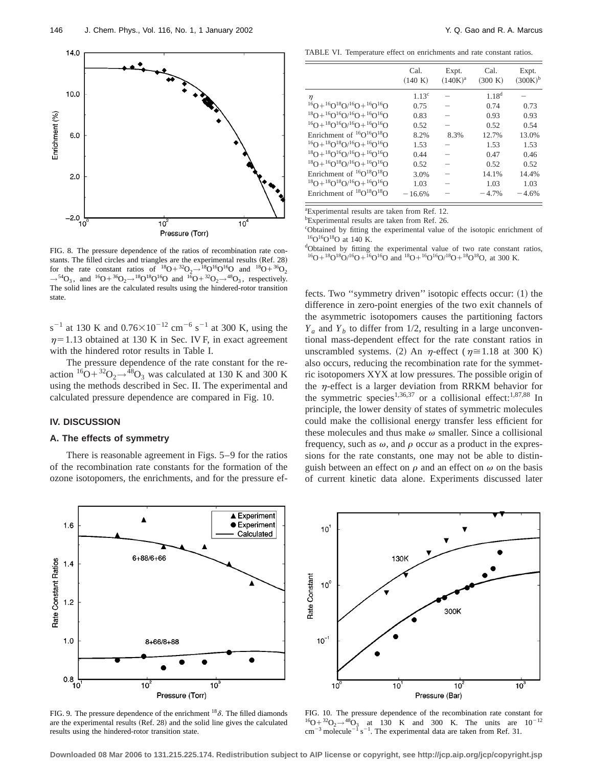

FIG. 8. The pressure dependence of the ratios of recombination rate constants. The filled circles and triangles are the experimental results (Ref. 28) for the rate constant ratios of  $^{18}O+^{32}O_2 \rightarrow ^{18}O^{16}O^{16}O$  and  $^{18}O+^{36}O_2$  $\rightarrow$ <sup>54</sup>O<sub>3</sub>, and <sup>16</sup>O+<sup>36</sup>O<sub>2</sub>→<sup>18</sup>O<sup>18</sup>O<sup>16</sup>O and <sup>16</sup>O+<sup>32</sup>O<sub>2</sub>→<sup>48</sup>O<sub>3</sub>, respectively. The solid lines are the calculated results using the hindered-rotor transition state.

s<sup>-1</sup> at 130 K and  $0.76 \times 10^{-12}$  cm<sup>-6</sup> s<sup>-1</sup> at 300 K, using the  $\eta$ =1.13 obtained at 130 K in Sec. IV F, in exact agreement with the hindered rotor results in Table I.

The pressure dependence of the rate constant for the reaction  ${}^{16}O+{}^{32}O_2 \rightarrow {}^{48}O_3$  was calculated at 130 K and 300 K using the methods described in Sec. II. The experimental and calculated pressure dependence are compared in Fig. 10.

## **IV. DISCUSSION**

### **A. The effects of symmetry**

There is reasonable agreement in Figs. 5–9 for the ratios of the recombination rate constants for the formation of the ozone isotopomers, the enrichments, and for the pressure ef-

TABLE VI. Temperature effect on enrichments and rate constant ratios.

|                                                                | Cal.<br>(140 K) | Expt.<br>$(140K)^{a}$ | Cal.<br>(300 K) | Expt.<br>$(300K)^{b}$ |
|----------------------------------------------------------------|-----------------|-----------------------|-----------------|-----------------------|
| η                                                              | $1.13^c$        |                       | $1.18^{d}$      |                       |
| ${}^{16}O+{}^{16}O$ ${}^{18}O$ $/{}^{16}O+{}^{16}O$ ${}^{16}O$ | 0.75            |                       | 0.74            | 0.73                  |
| $^{18}O+^{16}O^{16}O/^{16}O+^{16}O^{16}O$                      | 0.83            |                       | 0.93            | 0.93                  |
| ${}^{16}O+{}^{18}O$ ${}^{16}O$ ${}^{16}O+{}^{16}O$ ${}^{16}O$  | 0.52            |                       | 0.52            | 0.54                  |
| Enrichment of ${}^{16}O {}^{16}O {}^{18}O$                     | 8.2%            | 8.3%                  | 12.7%           | 13.0%                 |
| ${}^{16}O+{}^{18}O$ ${}^{18}O$ ${}^{16}O+{}^{16}O$ ${}^{16}O$  | 1.53            |                       | 1.53            | 1.53                  |
| $^{18}O+^{18}O^{16}O/^{16}O+^{16}O^{16}O$                      | 0.44            |                       | 0.47            | 0.46                  |
| $^{18}O+^{16}O^{18}O/^{16}O+^{16}O^{16}O$                      | 0.52            |                       | 0.52            | 0.52                  |
| Enrichment of ${}^{16}O{}^{18}O{}^{18}O$                       | 3.0%            |                       | 14.1%           | 14.4%                 |
| $^{18}O+^{18}O^{18}O/^{16}O+^{16}O^{16}O$                      | 1.03            |                       | 1.03            | 1.03                  |
| Enrichment of ${}^{18}O{}^{18}O{}^{18}O$                       | $-16.6%$        |                       | $-4.7%$         | $-4.6%$               |

a Experimental results are taken from Ref. 12.

b Experimental results are taken from Ref. 26.

<sup>c</sup>Obtained by fitting the experimental value of the isotopic enrichment of  $16$ O $16$ O $18$ O at 140 K.

dObtained by fitting the experimental value of two rate constant ratios,  $16O+18O+16O+16O+16O$  and  $18O+16O+16O+18O+18O+16O$ , at 300 K.

fects. Two "symmetry driven" isotopic effects occur:  $(1)$  the difference in zero-point energies of the two exit channels of the asymmetric isotopomers causes the partitioning factors  $Y_a$  and  $Y_b$  to differ from 1/2, resulting in a large unconventional mass-dependent effect for the rate constant ratios in unscrambled systems. (2) An  $\eta$ -effect ( $\eta \approx 1.18$  at 300 K) also occurs, reducing the recombination rate for the symmetric isotopomers XYX at low pressures. The possible origin of the  $\eta$ -effect is a larger deviation from RRKM behavior for the symmetric species<sup>1,36,37</sup> or a collisional effect:<sup>1,87,88</sup> In principle, the lower density of states of symmetric molecules could make the collisional energy transfer less efficient for these molecules and thus make  $\omega$  smaller. Since a collisional frequency, such as  $\omega$ , and  $\rho$  occur as a product in the expressions for the rate constants, one may not be able to distinguish between an effect on  $\rho$  and an effect on  $\omega$  on the basis of current kinetic data alone. Experiments discussed later



FIG. 9. The pressure dependence of the enrichment  $^{18}\delta$ . The filled diamonds are the experimental results  $(Ref. 28)$  and the solid line gives the calculated results using the hindered-rotor transition state.



FIG. 10. The pressure dependence of the recombination rate constant for  $^{16}O+^{32}O_2 \rightarrow ^{48}O_3$  at 130 K and 300 K. The units are  $10^{-12}$  $\text{cm}^{-3}$  molecule<sup>-1</sup> s<sup>-1</sup>. The experimental data are taken from Ref. 31.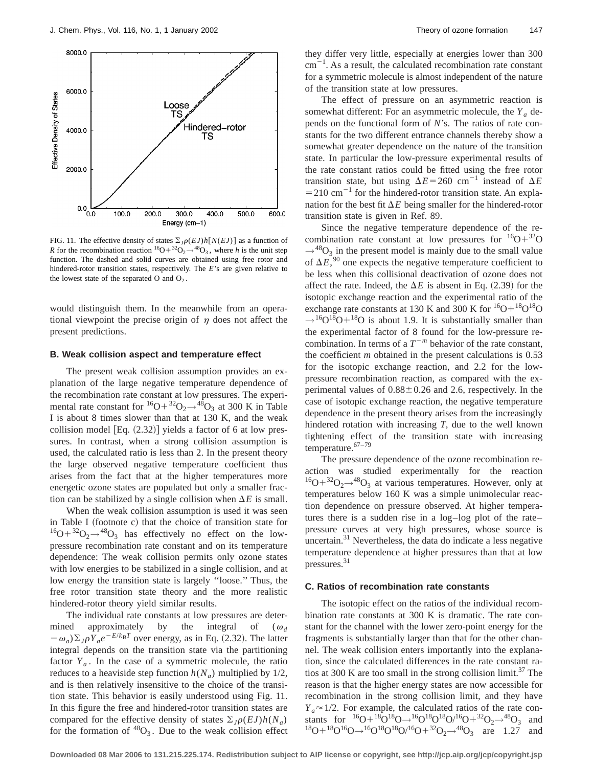

FIG. 11. The effective density of states  $\Sigma_J \rho(EJ) h[N(EJ)]$  as a function of *R* for the recombination reaction  ${}^{16}O+{}^{32}O_2 \rightarrow {}^{48}O_3$ , where *h* is the unit step function. The dashed and solid curves are obtained using free rotor and hindered-rotor transition states, respectively. The *E*'s are given relative to the lowest state of the separated  $O$  and  $O<sub>2</sub>$ .

would distinguish them. In the meanwhile from an operational viewpoint the precise origin of  $\eta$  does not affect the present predictions.

#### **B. Weak collision aspect and temperature effect**

The present weak collision assumption provides an explanation of the large negative temperature dependence of the recombination rate constant at low pressures. The experimental rate constant for  ${}^{16}O+{}^{32}O_2\rightarrow {}^{48}O_3$  at 300 K in Table I is about 8 times slower than that at 130 K, and the weak collision model  $[Eq. (2.32)]$  yields a factor of 6 at low pressures. In contrast, when a strong collision assumption is used, the calculated ratio is less than 2. In the present theory the large observed negative temperature coefficient thus arises from the fact that at the higher temperatures more energetic ozone states are populated but only a smaller fraction can be stabilized by a single collision when  $\Delta E$  is small.

When the weak collision assumption is used it was seen in Table I (footnote c) that the choice of transition state for  $^{16}O+^{32}O_2\rightarrow ^{48}O_3$  has effectively no effect on the lowpressure recombination rate constant and on its temperature dependence: The weak collision permits only ozone states with low energies to be stabilized in a single collision, and at low energy the transition state is largely ''loose.'' Thus, the free rotor transition state theory and the more realistic hindered-rotor theory yield similar results.

The individual rate constants at low pressures are determined approximately by the integral of  $(\omega_d)$  $-\omega_a$ ) $\Sigma_{I} \rho Y_a e^{-E/k_B T}$  over energy, as in Eq. (2.32). The latter integral depends on the transition state via the partitioning factor  $Y_a$ . In the case of a symmetric molecule, the ratio reduces to a heaviside step function  $h(N_a)$  multiplied by 1/2, and is then relatively insensitive to the choice of the transition state. This behavior is easily understood using Fig. 11. In this figure the free and hindered-rotor transition states are compared for the effective density of states  $\sum_{j} \rho(EJ)h(N_a)$ for the formation of  $^{48}O_3$ . Due to the weak collision effect they differ very little, especially at energies lower than 300  $\text{cm}^{-1}$ . As a result, the calculated recombination rate constant for a symmetric molecule is almost independent of the nature of the transition state at low pressures.

The effect of pressure on an asymmetric reaction is somewhat different: For an asymmetric molecule, the  $Y_a$  depends on the functional form of *N*'s. The ratios of rate constants for the two different entrance channels thereby show a somewhat greater dependence on the nature of the transition state. In particular the low-pressure experimental results of the rate constant ratios could be fitted using the free rotor transition state, but using  $\Delta E = 260$  cm<sup>-1</sup> instead of  $\Delta E$  $=$  210 cm<sup>-1</sup> for the hindered-rotor transition state. An explanation for the best fit  $\Delta E$  being smaller for the hindered-rotor transition state is given in Ref. 89.

Since the negative temperature dependence of the recombination rate constant at low pressures for  ${}^{16}O+{}^{32}O$  $\rightarrow$ <sup>48</sup>O<sub>3</sub> in the present model is mainly due to the small value of  $\Delta E$ ,<sup>90</sup> one expects the negative temperature coefficient to be less when this collisional deactivation of ozone does not affect the rate. Indeed, the  $\Delta E$  is absent in Eq. (2.39) for the isotopic exchange reaction and the experimental ratio of the exchange rate constants at 130 K and 300 K for  ${}^{16}O+{}^{18}O{}^{18}O$  $\rightarrow$ <sup>16</sup>O<sup>18</sup>O+<sup>18</sup>O is about 1.9. It is substantially smaller than the experimental factor of 8 found for the low-pressure recombination. In terms of a  $T^{-m}$  behavior of the rate constant, the coefficient *m* obtained in the present calculations is 0.53 for the isotopic exchange reaction, and 2.2 for the lowpressure recombination reaction, as compared with the experimental values of  $0.88 \pm 0.26$  and 2.6, respectively. In the case of isotopic exchange reaction, the negative temperature dependence in the present theory arises from the increasingly hindered rotation with increasing *T*, due to the well known tightening effect of the transition state with increasing temperature.<sup>67-79</sup>

The pressure dependence of the ozone recombination reaction was studied experimentally for the reaction  $^{16}O+^{32}O_2 \rightarrow ^{48}O_3$  at various temperatures. However, only at temperatures below 160 K was a simple unimolecular reaction dependence on pressure observed. At higher temperatures there is a sudden rise in a log–log plot of the rate– pressure curves at very high pressures, whose source is uncertain. $31$  Nevertheless, the data do indicate a less negative temperature dependence at higher pressures than that at low pressures.31

### **C. Ratios of recombination rate constants**

The isotopic effect on the ratios of the individual recombination rate constants at 300 K is dramatic. The rate constant for the channel with the lower zero-point energy for the fragments is substantially larger than that for the other channel. The weak collision enters importantly into the explanation, since the calculated differences in the rate constant ratios at 300 K are too small in the strong collision limit.<sup>37</sup> The reason is that the higher energy states are now accessible for recombination in the strong collision limit, and they have  $Y_a \approx 1/2$ . For example, the calculated ratios of the rate constants for  ${}^{16}O+{}^{18}O+{}^{18}O \rightarrow {}^{16}O+{}^{18}O/{}^{16}O+{}^{32}O_2 \rightarrow {}^{48}O_3$  and  $^{18}O+^{18}O^{16}O \rightarrow ^{16}O^{18}O^{18}O^{16}O+^{32}O_2 \rightarrow ^{48}O_3$  are 1.27 and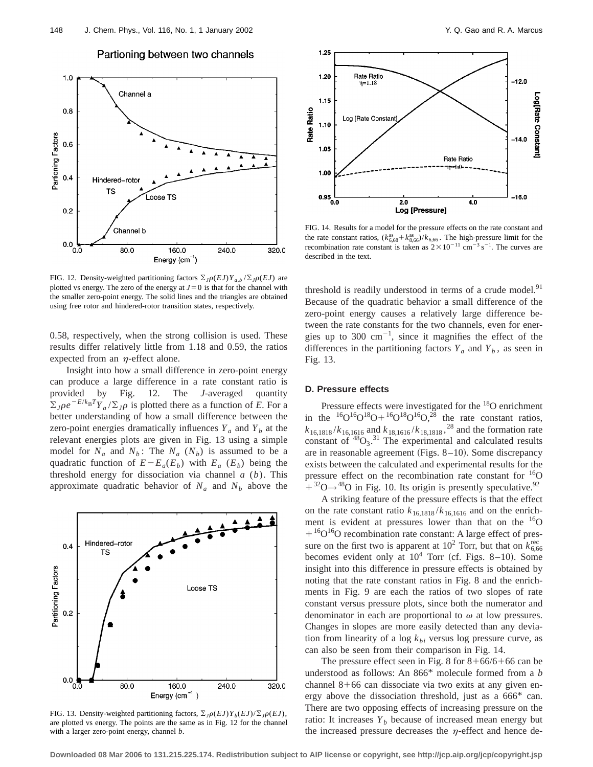

### Partioning between two channels

FIG. 12. Density-weighted partitioning factors  $\sum_{J} \rho(EJ) Y_{a,b} / \sum_{J} \rho(EJ)$  are plotted vs energy. The zero of the energy at  $J=0$  is that for the channel with the smaller zero-point energy. The solid lines and the triangles are obtained using free rotor and hindered-rotor transition states, respectively.

0.58, respectively, when the strong collision is used. These results differ relatively little from 1.18 and 0.59, the ratios expected from an  $\eta$ -effect alone.

Insight into how a small difference in zero-point energy can produce a large difference in a rate constant ratio is provided by Fig. 12. The *J*-averaged quantity  $\sum_{I} \rho e^{-E/k_B T} Y_a / \sum_{I} \rho$  is plotted there as a function of *E*. For a better understanding of how a small difference between the zero-point energies dramatically influences  $Y_a$  and  $Y_b$  at the relevant energies plots are given in Fig. 13 using a simple model for  $N_a$  and  $N_b$ : The  $N_a$  ( $N_b$ ) is assumed to be a quadratic function of  $E-E_a(E_b)$  with  $E_a(E_b)$  being the threshold energy for dissociation via channel *a* (*b*). This approximate quadratic behavior of  $N_a$  and  $N_b$  above the



FIG. 13. Density-weighted partitioning factors,  $\Sigma_J \rho(EJ)Y_b(EJ)/\Sigma_J \rho(EJ)$ , are plotted vs energy. The points are the same as in Fig. 12 for the channel with a larger zero-point energy, channel *b*.



FIG. 14. Results for a model for the pressure effects on the rate constant and the rate constant ratios,  $(k_{6,68}^{as} + k_{8,66}^{as})/k_{6,66}$ . The high-pressure limit for the recombination rate constant is taken as  $2 \times 10^{-11}$  cm<sup>-3</sup> s<sup>-1</sup>. The curves are described in the text.

threshold is readily understood in terms of a crude model.<sup>91</sup> Because of the quadratic behavior a small difference of the zero-point energy causes a relatively large difference between the rate constants for the two channels, even for energies up to 300  $\text{cm}^{-1}$ , since it magnifies the effect of the differences in the partitioning factors  $Y_a$  and  $Y_b$ , as seen in Fig. 13.

### **D. Pressure effects**

Pressure effects were investigated for the <sup>18</sup>O enrichment in the  ${}^{16}O^{16}O^{18}O + {}^{16}O^{18}O^{16}O, {}^{28}$  the rate constant ratios,  $k_{16,1818}/k_{16,1616}$  and  $k_{18,1616}/k_{18,1818}$ , <sup>28</sup> and the formation rate constant of  $^{48}O_3$ .<sup>31</sup> The experimental and calculated results are in reasonable agreement (Figs.  $8-10$ ). Some discrepancy exists between the calculated and experimental results for the pressure effect on the recombination rate constant for  ${}^{16}O$  $+$ <sup>32</sup>O $\rightarrow$ <sup>48</sup>O in Fig. 10. Its origin is presently speculative.<sup>92</sup>

A striking feature of the pressure effects is that the effect on the rate constant ratio  $k_{16,1818}/k_{16,1616}$  and on the enrichment is evident at pressures lower than that on the <sup>16</sup>O  $116$ <sup>16</sup>O<sup>16</sup>O recombination rate constant: A large effect of pressure on the first two is apparent at  $10^2$  Torr, but that on  $k_{6,66}^{\text{rec}}$ becomes evident only at  $10^4$  Torr (cf. Figs. 8–10). Some insight into this difference in pressure effects is obtained by noting that the rate constant ratios in Fig. 8 and the enrichments in Fig. 9 are each the ratios of two slopes of rate constant versus pressure plots, since both the numerator and denominator in each are proportional to  $\omega$  at low pressures. Changes in slopes are more easily detected than any deviation from linearity of a log  $k_{bi}$  versus log pressure curve, as can also be seen from their comparison in Fig. 14.

The pressure effect seen in Fig. 8 for  $8+66/6+66$  can be understood as follows: An 866\* molecule formed from a *b* channel  $8+66$  can dissociate via two exits at any given energy above the dissociation threshold, just as a 666\* can. There are two opposing effects of increasing pressure on the ratio: It increases  $Y_b$  because of increased mean energy but the increased pressure decreases the  $\eta$ -effect and hence de-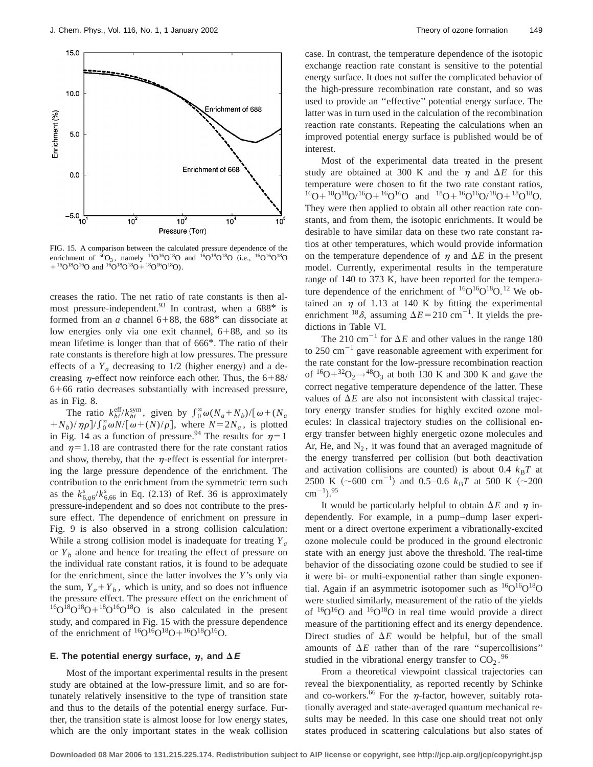

FIG. 15. A comparison between the calculated pressure dependence of the enrichment of  ${}^{50}O_3$ , namely  ${}^{16}O^{16}O^{18}O$  and  ${}^{16}O^{18}O^{18}O$  (i.e.,  ${}^{16}O^{16}O^{18}O$  $+{}^{16}O^{18}O^{16}O$  and  $1{}^{16}O^{18}O^{18}O + {}^{18}O^{16}O^{18}O$ .

creases the ratio. The net ratio of rate constants is then almost pressure-independent. <sup>93</sup> In contrast, when a  $688^*$  is formed from an  $a$  channel 6+88, the 688\* can dissociate at low energies only via one exit channel,  $6+88$ , and so its mean lifetime is longer than that of 666\*. The ratio of their rate constants is therefore high at low pressures. The pressure effects of a  $Y_a$  decreasing to  $1/2$  (higher energy) and a decreasing  $\eta$ -effect now reinforce each other. Thus, the 6+88/  $6+66$  ratio decreases substantially with increased pressure, as in Fig. 8.

The ratio  $k_{bi}^{\text{eff}}/k_{bi}^{\text{sym}}$ , given by  $\int_{0}^{\infty} \omega (N_a + N_b)/[\omega + (N_a$  $+N_b$ )/ $\eta \rho$ ]/ $\int_0^\infty \omega N/[\omega + (N)/\rho]$ , where  $N=2N_a$ , is plotted in Fig. 14 as a function of pressure.<sup>94</sup> The results for  $\eta=1$ and  $\eta=1.18$  are contrasted there for the rate constant ratios and show, thereby, that the  $\eta$ -effect is essential for interpreting the large pressure dependence of the enrichment. The contribution to the enrichment from the symmetric term such as the  $k_{6,q6}^s / k_{6,66}^s$  in Eq. (2.13) of Ref. 36 is approximately pressure-independent and so does not contribute to the pressure effect. The dependence of enrichment on pressure in Fig. 9 is also observed in a strong collision calculation: While a strong collision model is inadequate for treating *Ya* or  $Y_b$  alone and hence for treating the effect of pressure on the individual rate constant ratios, it is found to be adequate for the enrichment, since the latter involves the *Y*'s only via the sum,  $Y_a + Y_b$ , which is unity, and so does not influence the pressure effect. The pressure effect on the enrichment of  ${}^{16}O^{18}O + {}^{18}O^{16}O^{18}O$  is also calculated in the present study, and compared in Fig. 15 with the pressure dependence of the enrichment of  ${}^{16}O^{16}O^{18}O + {}^{16}O^{18}O^{16}O$ .

### **E.** The potential energy surface,  $\eta$ , and  $\Delta E$

Most of the important experimental results in the present study are obtained at the low-pressure limit, and so are fortunately relatively insensitive to the type of transition state and thus to the details of the potential energy surface. Further, the transition state is almost loose for low energy states, which are the only important states in the weak collision case. In contrast, the temperature dependence of the isotopic exchange reaction rate constant is sensitive to the potential energy surface. It does not suffer the complicated behavior of the high-pressure recombination rate constant, and so was used to provide an ''effective'' potential energy surface. The latter was in turn used in the calculation of the recombination reaction rate constants. Repeating the calculations when an improved potential energy surface is published would be of interest.

Most of the experimental data treated in the present study are obtained at 300 K and the  $\eta$  and  $\Delta E$  for this temperature were chosen to fit the two rate constant ratios,  $16O+18O18O/16O+16O16O$  and  $18O+16O16O/18O+18O18O$ . They were then applied to obtain all other reaction rate constants, and from them, the isotopic enrichments. It would be desirable to have similar data on these two rate constant ratios at other temperatures, which would provide information on the temperature dependence of  $\eta$  and  $\Delta E$  in the present model. Currently, experimental results in the temperature range of 140 to 373 K, have been reported for the temperature dependence of the enrichment of  ${}^{16}O_1{}^{16}O_1{}^{18}O_1{}^{12}$  We obtained an  $\eta$  of 1.13 at 140 K by fitting the experimental enrichment <sup>18</sup> $\delta$ , assuming  $\Delta E = 210$  cm<sup>-1</sup>. It yields the predictions in Table VI.

The 210 cm<sup>-1</sup> for  $\Delta E$  and other values in the range 180 to 250 cm<sup> $-1$ </sup> gave reasonable agreement with experiment for the rate constant for the low-pressure recombination reaction of  ${}^{16}O+{}^{32}O_2 \rightarrow {}^{48}O_3$  at both 130 K and 300 K and gave the correct negative temperature dependence of the latter. These values of  $\Delta E$  are also not inconsistent with classical trajectory energy transfer studies for highly excited ozone molecules: In classical trajectory studies on the collisional energy transfer between highly energetic ozone molecules and Ar, He, and  $N_2$ , it was found that an averaged magnitude of the energy transferred per collision (but both deactivation and activation collisions are counted) is about 0.4  $k_B T$  at 2500 K ( $\sim$ 600 cm<sup>-1</sup>) and 0.5–0.6  $k_B T$  at 500 K ( $\sim$ 200  $\text{cm}^{-1}$ ).<sup>95</sup>

It would be particularly helpful to obtain  $\Delta E$  and  $\eta$  independently. For example, in a pump–dump laser experiment or a direct overtone experiment a vibrationally-excited ozone molecule could be produced in the ground electronic state with an energy just above the threshold. The real-time behavior of the dissociating ozone could be studied to see if it were bi- or multi-exponential rather than single exponential. Again if an asymmetric isotopomer such as  ${}^{16}O^{16}O^{18}O$ were studied similarly, measurement of the ratio of the yields of  ${}^{16}O_{16}O$  and  ${}^{16}O_{18}O$  in real time would provide a direct measure of the partitioning effect and its energy dependence. Direct studies of  $\Delta E$  would be helpful, but of the small amounts of  $\Delta E$  rather than of the rare "supercollisions" studied in the vibrational energy transfer to  $CO_2$ .<sup>96</sup>

From a theoretical viewpoint classical trajectories can reveal the biexponentiality, as reported recently by Schinke and co-workers.<sup>66</sup> For the  $\eta$ -factor, however, suitably rotationally averaged and state-averaged quantum mechanical results may be needed. In this case one should treat not only states produced in scattering calculations but also states of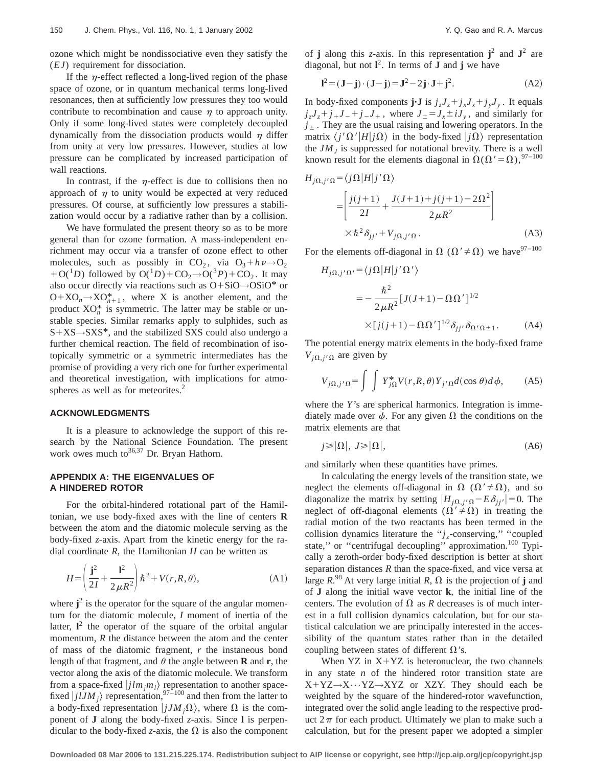ozone which might be nondissociative even they satisfy the (*EJ*) requirement for dissociation.

If the  $\eta$ -effect reflected a long-lived region of the phase space of ozone, or in quantum mechanical terms long-lived resonances, then at sufficiently low pressures they too would contribute to recombination and cause  $\eta$  to approach unity. Only if some long-lived states were completely decoupled dynamically from the dissociation products would  $\eta$  differ from unity at very low pressures. However, studies at low pressure can be complicated by increased participation of wall reactions.

In contrast, if the  $\eta$ -effect is due to collisions then no approach of  $\eta$  to unity would be expected at very reduced pressures. Of course, at sufficiently low pressures a stabilization would occur by a radiative rather than by a collision.

We have formulated the present theory so as to be more general than for ozone formation. A mass-independent enrichment may occur via a transfer of ozone effect to other molecules, such as possibly in CO<sub>2</sub>, via  $O_3 + h\nu \rightarrow O_2$  $+O(^{1}D)$  followed by  $O(^{1}D)+CO_{2} \rightarrow O(^{3}P)+CO_{2}$ . It may also occur directly via reactions such as  $O+SiO \rightarrow OSiO^*$  or  $O+XO_n \rightarrow XO_{n+1}^*$ , where X is another element, and the product  $XO_n^*$  is symmetric. The latter may be stable or unstable species. Similar remarks apply to sulphides, such as  $S+XS\rightarrow SXS^*$ , and the stabilized SXS could also undergo a further chemical reaction. The field of recombination of isotopically symmetric or a symmetric intermediates has the promise of providing a very rich one for further experimental and theoretical investigation, with implications for atmospheres as well as for meteorites.<sup>2</sup>

#### **ACKNOWLEDGMENTS**

It is a pleasure to acknowledge the support of this research by the National Science Foundation. The present work owes much to  $36,37$  Dr. Bryan Hathorn.

## **APPENDIX A: THE EIGENVALUES OF A HINDERED ROTOR**

For the orbital-hindered rotational part of the Hamiltonian, we use body-fixed axes with the line of centers **R** between the atom and the diatomic molecule serving as the body-fixed *z*-axis. Apart from the kinetic energy for the radial coordinate *R*, the Hamiltonian *H* can be written as

$$
H = \left(\frac{\mathbf{j}^2}{2I} + \frac{\mathbf{l}^2}{2\mu R^2}\right) \hbar^2 + V(r, R, \theta),\tag{A1}
$$

where  $j^2$  is the operator for the square of the angular momentum for the diatomic molecule, *I* moment of inertia of the latter,  $I^2$  the operator of the square of the orbital angular momentum, *R* the distance between the atom and the center of mass of the diatomic fragment, *r* the instaneous bond length of that fragment, and  $\theta$  the angle between **R** and **r**, the vector along the axis of the diatomic molecule. We transform from a space-fixed  $\langle jlm_jm_l \rangle$  representation to another spacefixed  $\left| j l J M_j \right\rangle$  representation,<sup>97–100</sup> and then from the latter to a body-fixed representation  $|jJM_j\Omega\rangle$ , where  $\Omega$  is the component of **J** along the body-fixed *z*-axis. Since **l** is perpendicular to the body-fixed *z*-axis, the  $\Omega$  is also the component of **j** along this *z*-axis. In this representation  $j^2$  and  $J^2$  are diagonal, but not  $I^2$ . In terms of **J** and **j** we have

$$
\mathbf{l}^2 = (\mathbf{J} - \mathbf{j}) \cdot (\mathbf{J} - \mathbf{j}) = \mathbf{J}^2 - 2\mathbf{j} \cdot \mathbf{J} + \mathbf{j}^2. \tag{A2}
$$

In body-fixed components  $\mathbf{j} \cdot \mathbf{J}$  is  $j_z J_z + j_x J_x + j_y J_y$ . It equals  $j_zJ_z+j_+J_-+j_-J_+$ , where  $J_{\pm}=J_x\pm iJ_y$ , and similarly for  $j_{\pm}$ . They are the usual raising and lowering operators. In the matrix  $\langle j'\Omega'|H|j\Omega\rangle$  in the body-fixed  $|j\Omega\rangle$  representation the  $JM<sub>I</sub>$  is suppressed for notational brevity. There is a well known result for the elements diagonal in  $\Omega(\Omega'=\Omega)$ , <sup>97–100</sup>

$$
H_{j\Omega,j'\Omega} = \langle j\Omega | H | j'\Omega \rangle
$$
  
= 
$$
\left[ \frac{j(j+1)}{2I} + \frac{J(J+1) + j(j+1) - 2\Omega^2}{2\mu R^2} \right]
$$
  

$$
\times \hbar^2 \delta_{jj'} + V_{j\Omega,j'\Omega}.
$$
 (A3)

For the elements off-diagonal in  $\Omega$  ( $\Omega' \neq \Omega$ ) we have  $97-100$ 

$$
H_{j\Omega,j'\Omega'} = \langle j\Omega | H | j'\Omega' \rangle
$$
  
= 
$$
-\frac{\hbar^2}{2\mu R^2} [J(J+1) - \Omega \Omega']^{1/2}
$$
  

$$
\times [j(j+1) - \Omega \Omega']^{1/2} \delta_{jj'} \delta_{\Omega'\Omega \pm 1}.
$$
 (A4)

The potential energy matrix elements in the body-fixed frame  $V_{i\Omega, j'\Omega}$  are given by

$$
V_{j\Omega,j'\Omega} = \int \int Y_{j\Omega}^* V(r,R,\theta) Y_{j'\Omega} d(\cos\theta) d\phi, \qquad (A5)
$$

where the *Y*'s are spherical harmonics. Integration is immediately made over  $\phi$ . For any given  $\Omega$  the conditions on the matrix elements are that

$$
j \geq |\Omega|, \quad J \geq |\Omega|,\tag{A6}
$$

and similarly when these quantities have primes.

In calculating the energy levels of the transition state, we neglect the elements off-diagonal in  $\Omega$  ( $\Omega' \neq \Omega$ ), and so diagonalize the matrix by setting  $|H_{j\Omega,j'\Omega} - E \delta_{jj'}| = 0$ . The neglect of off-diagonal elements ( $\Omega' \neq \Omega$ ) in treating the radial motion of the two reactants has been termed in the collision dynamics literature the "*j<sub>z</sub>*-conserving," "coupled" state," or "centrifugal decoupling" approximation.<sup>100</sup> Typically a zeroth-order body-fixed description is better at short separation distances *R* than the space-fixed, and vice versa at large  $R^{98}$  At very large initial  $R$ ,  $\Omega$  is the projection of **j** and of **J** along the initial wave vector **k**, the initial line of the centers. The evolution of  $\Omega$  as *R* decreases is of much interest in a full collision dynamics calculation, but for our statistical calculation we are principally interested in the accessibility of the quantum states rather than in the detailed coupling between states of different  $\Omega$ 's.

When  $YZ$  in  $X+YZ$  is heteronuclear, the two channels in any state *n* of the hindered rotor transition state are  $X+YZ\rightarrow X\cdots YZ\rightarrow XYZ$  or XZY. They should each be weighted by the square of the hindered-rotor wavefunction, integrated over the solid angle leading to the respective product  $2\pi$  for each product. Ultimately we plan to make such a calculation, but for the present paper we adopted a simpler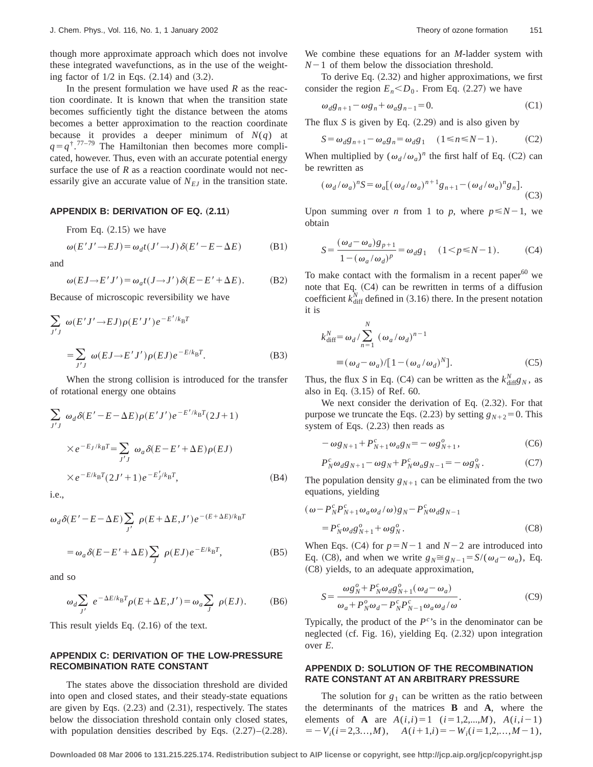though more approximate approach which does not involve these integrated wavefunctions, as in the use of the weighting factor of  $1/2$  in Eqs.  $(2.14)$  and  $(3.2)$ .

In the present formulation we have used *R* as the reaction coordinate. It is known that when the transition state becomes sufficiently tight the distance between the atoms becomes a better approximation to the reaction coordinate because it provides a deeper minimum of  $N(q)$  at  $q = q^{\dagger}$ .<sup>77–79</sup> The Hamiltonian then becomes more complicated, however. Thus, even with an accurate potential energy surface the use of *R* as a reaction coordinate would not necessarily give an accurate value of  $N_{EJ}$  in the transition state.

#### **APPENDIX B: DERIVATION OF EQ. (2.11)**

From Eq.  $(2.15)$  we have

$$
\omega(E'J' \to EJ) = \omega_d t(J' \to J) \delta(E' - E - \Delta E)
$$
 (B1)

and

$$
\omega(EJ \to E'J') = \omega_a t(J \to J') \,\delta(E - E' + \Delta E). \tag{B2}
$$

Because of microscopic reversibility we have

$$
\sum_{J'J} \omega(E'J' \to EJ) \rho(E'J') e^{-E'/k_B T}
$$
  
= 
$$
\sum_{J'J} \omega(EJ \to E'J') \rho(EJ) e^{-E/k_B T}.
$$
 (B3)

When the strong collision is introduced for the transfer of rotational energy one obtains

$$
\sum_{J'J} \omega_d \delta(E' - E - \Delta E) \rho(E'J') e^{-E'/k_B T} (2J+1)
$$
  
 
$$
\times e^{-E_J/k_B T} = \sum_{J'J} \omega_a \delta(E - E' + \Delta E) \rho(EJ)
$$
  
 
$$
\times e^{-E/k_B T} (2J' + 1) e^{-E_J'/k_B T},
$$
 (B4)

i.e.,

$$
\omega_d \delta(E' - E - \Delta E) \sum_{J'} \rho(E + \Delta E, J') e^{-(E + \Delta E)/k_B T}
$$
  
=  $\omega_a \delta(E - E' + \Delta E) \sum_{J} \rho(EJ) e^{-E/k_B T}$ , (B5)

and so

$$
\omega_d \sum_{J'} e^{-\Delta E/k_B T} \rho(E + \Delta E, J') = \omega_a \sum_{J} \rho(EJ). \tag{B6}
$$

This result yields Eq.  $(2.16)$  of the text.

# **APPENDIX C: DERIVATION OF THE LOW-PRESSURE RECOMBINATION RATE CONSTANT**

The states above the dissociation threshold are divided into open and closed states, and their steady-state equations are given by Eqs.  $(2.23)$  and  $(2.31)$ , respectively. The states below the dissociation threshold contain only closed states, with population densities described by Eqs.  $(2.27)$ – $(2.28)$ . We combine these equations for an *M*-ladder system with  $N-1$  of them below the dissociation threshold.

To derive Eq.  $(2.32)$  and higher approximations, we first consider the region  $E_n < D_0$ . From Eq. (2.27) we have

$$
\omega_d g_{n+1} - \omega g_n + \omega_a g_{n-1} = 0. \tag{C1}
$$

The flux  $S$  is given by Eq.  $(2.29)$  and is also given by

$$
S = \omega_d g_{n+1} - \omega_a g_n = \omega_d g_1 \quad (1 \le n \le N-1). \tag{C2}
$$

When multiplied by  $(\omega_d/\omega_a)^n$  the first half of Eq. (C2) can be rewritten as

$$
(\omega_d/\omega_a)^n S = \omega_a [(\omega_d/\omega_a)^{n+1} g_{n+1} - (\omega_d/\omega_a)^n g_n].
$$
\n(C3)

Upon summing over *n* from 1 to *p*, where  $p \le N-1$ , we obtain

$$
S = \frac{(\omega_d - \omega_a)g_{p+1}}{1 - (\omega_a/\omega_d)^p} = \omega_d g_1 \quad (1 < p \le N - 1).
$$
 (C4)

To make contact with the formalism in a recent paper $^{60}$  we note that Eq.  $(C4)$  can be rewritten in terms of a diffusion coefficient  $k_{\text{diff}}^N$  defined in (3.16) there. In the present notation it is

$$
k_{\text{diff}}^N = \omega_d / \sum_{n=1}^N (\omega_a / \omega_d)^{n-1}
$$
  

$$
\equiv (\omega_d - \omega_a) / [1 - (\omega_a / \omega_d)^N].
$$
 (C5)

Thus, the flux *S* in Eq. (C4) can be written as the  $k_{\text{diff}}^N g_N$ , as also in Eq.  $(3.15)$  of Ref. 60.

We next consider the derivation of Eq.  $(2.32)$ . For that purpose we truncate the Eqs.  $(2.23)$  by setting  $g_{N+2} = 0$ . This system of Eqs.  $(2.23)$  then reads as

$$
-\omega g_{N+1} + P_{N+1}^c \omega_a g_N = -\omega g_{N+1}^o,
$$
 (C6)

$$
P_N^c \omega_d g_{N+1} - \omega g_N + P_N^c \omega_a g_{N-1} = -\omega g_N^o.
$$
 (C7)

The population density  $g_{N+1}$  can be eliminated from the two equations, yielding

$$
(\omega - P_N^c P_{N+1}^c \omega_a \omega_d / \omega) g_N - P_N^c \omega_d g_{N-1}
$$
  
=  $P_N^c \omega_d g_{N+1}^o + \omega g_N^o$ . (C8)

When Eqs. (C4) for  $p=N-1$  and  $N-2$  are introduced into Eq. (C8), and when we write  $g_N \approx g_{N-1} = S/(\omega_d - \omega_a)$ , Eq. (C8) yields, to an adequate approximation,

$$
S = \frac{\omega g_N^o + P_N^c \omega_d g_{N+1}^o(\omega_d - \omega_a)}{\omega_a + P_N^o \omega_d - P_N^c P_{N-1}^c \omega_d \omega_d / \omega}.
$$
 (C9)

Typically, the product of the  $P^{c}$ 's in the denominator can be neglected (cf. Fig. 16), yielding Eq.  $(2.32)$  upon integration over *E*.

## **APPENDIX D: SOLUTION OF THE RECOMBINATION RATE CONSTANT AT AN ARBITRARY PRESSURE**

The solution for  $g_1$  can be written as the ratio between the determinants of the matrices **B** and **A**, where the elements of **A** are  $A(i,i)=1$  ( $i=1,2,...,M$ ),  $A(i,i-1)$  $= -V_i(i=2,3...$ ,*M*),  $A(i+1,i)=-W_i(i=1,2,...,M-1)$ ,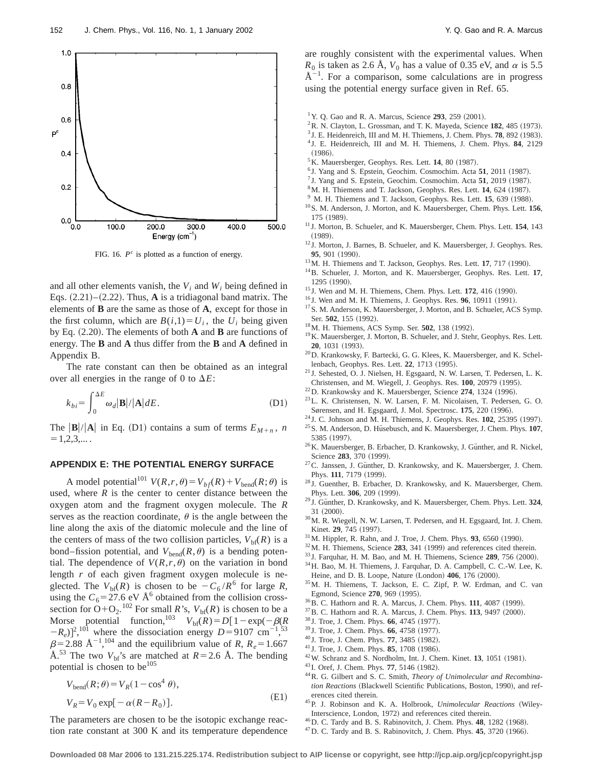

FIG. 16. *P<sup>c</sup>* is plotted as a function of energy.

and all other elements vanish, the  $V_i$  and  $W_i$  being defined in Eqs.  $(2.21)$ – $(2.22)$ . Thus, **A** is a tridiagonal band matrix. The elements of **B** are the same as those of **A**, except for those in the first column, which are  $B(i,1)=U_i$ , the  $U_i$  being given by Eq.  $(2.20)$ . The elements of both **A** and **B** are functions of energy. The **B** and **A** thus differ from the **B** and **A** defined in Appendix B.

The rate constant can then be obtained as an integral over all energies in the range of 0 to  $\Delta E$ :

$$
k_{bi} = \int_{0}^{\Delta E} \omega_{d} |\mathbf{B}| / |\mathbf{A}| dE.
$$
 (D1)

The  $|\mathbf{B}|/|\mathbf{A}|$  in Eq. (D1) contains a sum of terms  $E_{M+n}$ , *n*  $=1.2.3...$ .

### **APPENDIX E: THE POTENTIAL ENERGY SURFACE**

A model potential<sup>101</sup>  $V(R,r,\theta) = V_{bf}(R) + V_{bend}(R;\theta)$  is used, where  $R$  is the center to center distance between the oxygen atom and the fragment oxygen molecule. The *R* serves as the reaction coordinate,  $\theta$  is the angle between the line along the axis of the diatomic molecule and the line of the centers of mass of the two collision particles,  $V_{\text{bf}(R)}$  is a bond–fission potential, and  $V_{\text{bend}}(R,\theta)$  is a bending potential. The dependence of  $V(R,r,\theta)$  on the variation in bond length *r* of each given fragment oxygen molecule is neglected. The  $V_{\text{bf}(R)}$  is chosen to be  $-C_6 / R^6$  for large *R*, using the  $C_6 = 27.6$  eV Å<sup>6</sup> obtained from the collision crosssection for  $O+O_2$ .<sup>102</sup> For small *R*'s,  $V_{\text{bf}(R)}$  is chosen to be a Morse potential function,<sup>103</sup>  $V_{\text{bf}}(R) = D[1 - \exp(-\beta(R))]$  $(-R_e)$ <sup>2</sup>,<sup>101</sup> where the dissociation energy *D*=9107 cm<sup>-1</sup>,<sup>53</sup>  $\beta$ =2.88 Å<sup>-1</sup>,<sup>104</sup> and the equilibrium value of *R*,  $R_e$ =1.667 Å.<sup>53</sup> The two  $V_{\text{bf}}$ 's are matched at  $R=2.6$  Å. The bending potential is chosen to be<sup>105</sup>

$$
V_{\text{bend}}(R; \theta) = V_R(1 - \cos^4 \theta),
$$
  
\n
$$
V_R = V_0 \exp[-\alpha (R - R_0)].
$$
\n(E1)

The parameters are chosen to be the isotopic exchange reaction rate constant at 300 K and its temperature dependence are roughly consistent with the experimental values. When  $R_0$  is taken as 2.6 Å,  $V_0$  has a value of 0.35 eV, and  $\alpha$  is 5.5  $\AA^{-1}$ . For a comparison, some calculations are in progress using the potential energy surface given in Ref. 65.

- <sup>1</sup> Y. Q. Gao and R. A. Marcus, Science 293, 259 (2001).
- $2R$ . N. Clayton, L. Grossman, and T. K. Mayeda, Science 182, 485 (1973).
- $3$  J. E. Heidenreich, III and M. H. Thiemens, J. Chem. Phys.  $78$ ,  $892$  (1983).
- <sup>4</sup> J. E. Heidenreich, III and M. H. Thiemens, J. Chem. Phys. **84**, 2129  $(1986).$
- ${}^5$ K. Mauersberger, Geophys. Res. Lett. **14**, 80 (1987).
- $6$  J. Yang and S. Epstein, Geochim. Cosmochim. Acta  $51$ , 2011 (1987).
- <sup>7</sup> J. Yang and S. Epstein, Geochim. Cosmochim. Acta 51, 2019 (1987).
- <sup>8</sup>M. H. Thiemens and T. Jackson, Geophys. Res. Lett. **14**, 624 (1987).
- $9$  M. H. Thiemens and T. Jackson, Geophys. Res. Lett. **15**, 639 (1988). 10S. M. Anderson, J. Morton, and K. Mauersberger, Chem. Phys. Lett. **156**,
- 175 (1989).
- <sup>11</sup> J. Morton, B. Schueler, and K. Mauersberger, Chem. Phys. Lett. **154**, 143  $(1989).$
- <sup>12</sup> J. Morton, J. Barnes, B. Schueler, and K. Mauersberger, J. Geophys. Res. **95**, 901 (1990).
- <sup>13</sup>M. H. Thiemens and T. Jackson, Geophys. Res. Lett. **17**, 717 (1990).
- 14B. Schueler, J. Morton, and K. Mauersberger, Geophys. Res. Lett. **17**, 1295 (1990).
- <sup>15</sup> J. Wen and M. H. Thiemens, Chem. Phys. Lett. **172**, 416 (1990).
- <sup>16</sup> J. Wen and M. H. Thiemens, J. Geophys. Res. **96**, 10911 (1991).
- <sup>17</sup>S. M. Anderson, K. Mauersberger, J. Morton, and B. Schueler, ACS Symp. Ser. 502, 155 (1992).
- <sup>18</sup>M. H. Thiemens, ACS Symp. Ser. **502**, 138 (1992).
- <sup>19</sup>K. Mauersberger, J. Morton, B. Schueler, and J. Stehr, Geophys. Res. Lett. **20**, 1031 (1993).
- 20D. Krankowsky, F. Bartecki, G. G. Klees, K. Mauersberger, and K. Schellenbach, Geophys. Res. Lett. 22, 1713 (1995).
- <sup>21</sup> J. Sehested, O. J. Nielsen, H. Egsgaard, N. W. Larsen, T. Pedersen, L. K. Christensen, and M. Wiegell, J. Geophys. Res. 100, 20979 (1995).
- $22$ D. Krankowsky and K. Mauersberger, Science  $274$ , 1324 (1996).
- 23L. K. Christensen, N. W. Larsen, F. M. Nicolaisen, T. Pedersen, G. O. Sørensen, and H. Egsgaard, J. Mol. Spectrosc. **175**, 220 (1996).
- <sup>24</sup> J. C. Johnson and M. H. Thiemens, J. Geophys. Res. **102**, 25395 (1997).
- <sup>25</sup> S. M. Anderson, D. Hüsebusch, and K. Mauersberger, J. Chem. Phys. **107**, 5385 (1997).
- $26$ K. Mauersberger, B. Erbacher, D. Krankowsky, J. Günther, and R. Nickel, Science 283, 370 (1999).
- $27$ C. Janssen, J. Gunther, D. Krankowsky, and K. Mauersberger, J. Chem. Phys. 111, 7179 (1999).
- <sup>28</sup> J. Guenther, B. Erbacher, D. Krankowsky, and K. Mauersberger, Chem. Phys. Lett. 306, 209 (1999).
- <sup>29</sup> J. Günther, D. Krankowsky, and K. Mauersberger, Chem. Phys. Lett. 324,  $31 ~ (2000)$ .
- 30M. R. Wiegell, N. W. Larsen, T. Pedersen, and H. Egsgaard, Int. J. Chem. Kinet. **29.** 745 (1997).
- $31$  M. Hippler, R. Rahn, and J. Troe, J. Chem. Phys.  $93$ , 6560 (1990).
- $32$ M. H. Thiemens, Science 283, 341  $(1999)$  and references cited therein.
- <sup>33</sup> J. Farquhar, H. M. Bao, and M. H. Thiemens, Science **289**, 756 (2000).
- 34H. Bao, M. H. Thiemens, J. Farquhar, D. A. Campbell, C. C.-W. Lee, K. Heine, and D. B. Loope, Nature (London) 406, 176 (2000).
- 35M. H. Thiemens, T. Jackson, E. C. Zipf, P. W. Erdman, and C. van Egmond, Science 270, 969 (1995).
- <sup>36</sup> B. C. Hathorn and R. A. Marcus, J. Chem. Phys. **111**, 4087 (1999).
- <sup>37</sup> B. C. Hathorn and R. A. Marcus, J. Chem. Phys. **113**, 9497 (2000).
- <sup>38</sup> J. Troe, J. Chem. Phys. **66**, 4745 (1977).
- <sup>39</sup> J. Troe, J. Chem. Phys. **66**, 4758 (1977).
- <sup>40</sup> J. Troe, J. Chem. Phys. **77**, 3485 (1982).
- <sup>41</sup> J. Troe, J. Chem. Phys. **85**, 1708 (1986).
- <sup>42</sup>W. Schranz and S. Nordholm, Int. J. Chem. Kinet. **13**, 1051 (1981).
- <sup>43</sup> I. Oref, J. Chem. Phys. **77**, 5146 (1982).
- 44R. G. Gilbert and S. C. Smith, *Theory of Unimolecular and Recombination Reactions* (Blackwell Scientific Publications, Boston, 1990), and references cited therein.
- <sup>45</sup>P. J. Robinson and K. A. Holbrook, *Unimolecular Reactions* (Wiley-Interscience, London, 1972) and references cited therein.
- <sup>46</sup> D. C. Tardy and B. S. Rabinovitch, J. Chem. Phys. **48**, 1282 (1968).
- <sup>47</sup> D. C. Tardy and B. S. Rabinovitch, J. Chem. Phys. **45**, 3720 (1966).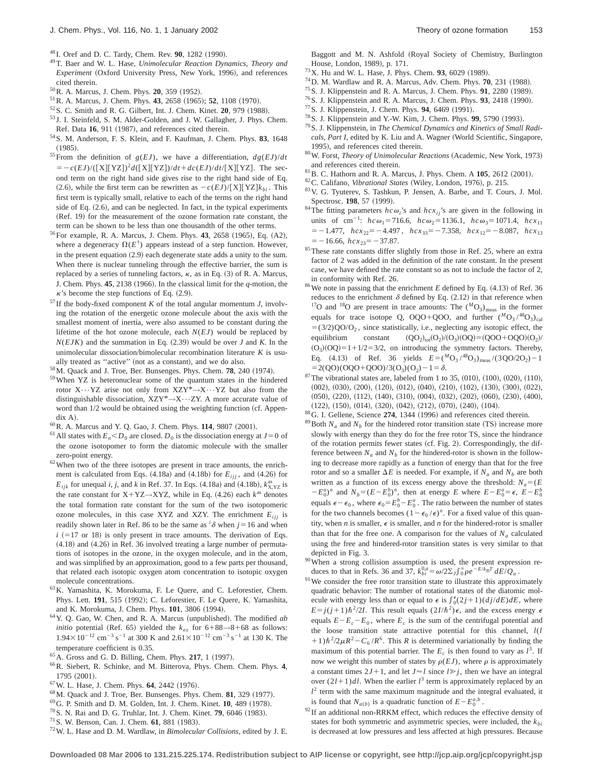- <sup>48</sup> I. Oref and D. C. Tardy, Chem. Rev. **90**, 1282 (1990).
- 49T. Baer and W. L. Hase, *Unimolecular Reaction Dynamics, Theory and Experiment* (Oxford University Press, New York, 1996), and references cited therein.
- <sup>50</sup> R. A. Marcus, J. Chem. Phys. **20**, 359 (1952).
- <sup>51</sup> R. A. Marcus, J. Chem. Phys. **43**, 2658 (1965); **52**, 1108 (1970).
- <sup>52</sup> S. C. Smith and R. G. Gilbert, Int. J. Chem. Kinet. **20**, 979 (1988).
- <sup>53</sup> J. I. Steinfeld, S. M. Alder-Golden, and J. W. Gallagher, J. Phys. Chem. Ref. Data 16, 911 (1987), and references cited therein.
- 54S. M. Anderson, F. S. Klein, and F. Kaufman, J. Chem. Phys. **83**, 1648  $(1985).$
- <sup>55</sup>From the definition of  $g(EJ)$ , we have a differentiation,  $dg(EJ)/dt$  $= -c(EJ)/([X][YZ])^{2}d([X][YZ])/dt + dc(EJ)/dt/[X][YZ]$ . The second term on the right hand side gives rise to the right hand side of Eq.  $(2.6)$ , while the first term can be rewritten as  $-c(EJ)/[X][YZ]k_{bi}$ . This first term is typically small, relative to each of the terms on the right hand side of Eq.  $(2.6)$ , and can be neglected. In fact, in the typical experiments (Ref. 19) for the measurement of the ozone formation rate constant, the term can be shown to be less than one thousandth of the other terms.
- <sup>56</sup>For example, R. A. Marcus, J. Chem. Phys. **43**, 2658 (1965), Eq. (A2), where a degeneracy  $\Omega(E^{\dagger})$  appears instead of a step function. However, in the present equation  $(2.9)$  each degenerate state adds a unity to the sum. When there is nuclear tunneling through the effective barrier, the sum is replaced by a series of tunneling factors,  $\kappa$ , as in Eq. (3) of R. A. Marcus, J. Chem. Phys.  $45$ ,  $2138$  (1966). In the classical limit for the *q*-motion, the  $\kappa$ 's become the step functions of Eq. (2.9).
- $57$  If the body-fixed component *K* of the total angular momentum *J*, involving the rotation of the energetic ozone molecule about the axis with the smallest moment of inertia, were also assumed to be constant during the lifetime of the hot ozone molecule, each *N*(*EJ*) would be replaced by  $N(EJK)$  and the summation in Eq.  $(2.39)$  would be over *J* and *K*. In the unimolecular dissociation/bimolecular recombination literature *K* is usually treated as "active" (not as a constant), and we do also.
- <sup>58</sup>M. Quack and J. Troe, Ber. Bunsenges. Phys. Chem. **78**, 240 (1974).
- 59When YZ is heteronuclear some of the quantum states in the hindered rotor  $X \cdots YZ$  arise not only from  $XZY^* \rightarrow X \cdots YZ$  but also from the distinguishable dissociation, XZY\*→X•••ZY. A more accurate value of word than 1/2 would be obtained using the weighting function (cf. Appen- $\operatorname{d}$ ix A).
- <sup>60</sup> R. A. Marcus and Y. Q. Gao, J. Chem. Phys. **114**, 9807 (2001).
- <sup>61</sup> All states with  $E_n < D_0$  are closed.  $D_0$  is the dissociation energy at  $J=0$  of the ozone isotopomer to form the diatomic molecule with the smaller zero-point energy.
- $62$  When two of the three isotopes are present in trace amounts, the enrichment is calculated from Eqs.  $(4.18a)$  and  $(4.18b)$  for  $E_{ijj}$ , and  $(4.26)$  for  $E_{ijk}$  for unequal *i*, *j*, and *k* in Ref. 37. In Eqs. (4.18a) and (4.18b),  $k_{X, YZ}^{as}$  is the rate constant for X+YZ→XYZ, while in Eq.  $(4.26)$  each  $k^{as}$  denotes the total formation rate constant for the sum of the two isotopomeric ozone molecules, in this case XYZ and XZY. The enrichment  $E_{ijj}$  is readily shown later in Ref. 86 to be the same as  $^{i}$   $\delta$  when  $j=16$  and when  $i$   $(=17 \text{ or } 18)$  is only present in trace amounts. The derivation of Eqs.  $(4.18)$  and  $(4.26)$  in Ref. 36 involved treating a large number of permutations of isotopes in the ozone, in the oxygen molecule, and in the atom, and was simplified by an approximation, good to a few parts per thousand, that related each isotopic oxygen atom concentration to isotopic oxygen molecule concentrations.
- 63K. Yamashita, K. Morokuma, F. Le Quere, and C. Leforestier, Chem. Phys. Lett. 191, 515 (1992); C. Leforestier, F. Le Quere, K. Yamashita, and K. Morokuma, J. Chem. Phys. 101, 3806 (1994).
- <sup>64</sup> Y. Q. Gao, W. Chen, and R. A. Marcus (unpublished). The modified *ab initio* potential (Ref. 65) yielded the  $k_{ex}$  for 6+88→8+68 as follows:  $1.94 \times 10^{-12}$  cm<sup>-3</sup> s<sup>-1</sup> at 300 K and  $2.61 \times 10^{-12}$  cm<sup>-3</sup> s<sup>-1</sup> at 130 K. The temperature coefficient is 0.35.
- <sup>65</sup> A. Gross and G. D. Billing, Chem. Phys. **217**, 1 (1997).
- 66R. Siebert, R. Schinke, and M. Bitterova, Phys. Chem. Chem. Phys. **4**,  $1795 (2001).$
- <sup>67</sup> W. L. Hase, J. Chem. Phys. **64**, 2442 (1976).
- $^{68}$ M. Quack and J. Troe, Ber. Bunsenges. Phys. Chem.  $81$ , 329 (1977).
- <sup>69</sup> G. P. Smith and D. M. Golden, Int. J. Chem. Kinet. **10**, 489 (1978).
- <sup>70</sup> S. N. Rai and D. G. Truhlar, Int. J. Chem. Kinet. **79**, 6046 (1983).
- <sup>71</sup> S. W. Benson, Can. J. Chem. **61**, 881 (1983).
- 72W. L. Hase and D. M. Wardlaw, in *Bimolecular Collisions*, edited by J. E.

Baggott and M. N. Ashfold (Royal Society of Chemistry, Burlington House, London, 1989), p. 171.

- <sup>73</sup> X. Hu and W. L. Hase, J. Phys. Chem. **93**, 6029 (1989).
- $^{74}$ D. M. Wardlaw and R. A. Marcus, Adv. Chem. Phys.  $70$ , 231 (1988).
- <sup>75</sup> S. J. Klippenstein and R. A. Marcus, J. Chem. Phys. **91**, 2280 (1989).
- <sup>76</sup> S. J. Klippenstein and R. A. Marcus, J. Chem. Phys. **93**, 2418 (1990).
- <sup>77</sup> S. J. Klippenstein, J. Chem. Phys. **94**, 6469 (1991).
- <sup>78</sup> S. J. Klippenstein and Y.-W. Kim, J. Chem. Phys. **99**, 5790 (1993). 79S. J. Klippenstein, in *The Chemical Dynamics and Kinetics of Small Radi-*
- cals, Part I, edited by K. Liu and A. Wagner (World Scientific, Singapore, 1995), and references cited therein.
- <sup>80</sup>W. Forst, *Theory of Unimolecular Reactions* (Academic, New York, 1973) and references cited therein.
- <sup>81</sup> B. C. Hathorn and R. A. Marcus, J. Phys. Chem. A **105**, 2612 (2001).
- <sup>82</sup>C. Califano, *Vibrational States* (Wiley, London, 1976), p. 215.
- 83V. G. Tyuterev, S. Tashkun, P. Jensen, A. Barbe, and T. Cours, J. Mol. Spectrosc. **198**, 57 (1999).
- <sup>84</sup>The fitting parameters  $h c \omega_i$ 's and  $h c x_{ij}$ 's are given in the following in units of cm<sup>-1</sup>:  $hc\omega_1 = 716.6$ ,  $hc\omega_2 = 1136.1$ ,  $hc\omega_3 = 1071.4$ ,  $hc\chi_{11}$  $=$  -1.477,  $hcx_{22}$ = -4.497,  $hcx_{33}$ = -7.358,  $hcx_{12}$ = -8.087,  $hcx_{13}$  $=-16.66$ ,  $hc x_{23}=-37.87$ .
- <sup>85</sup>These rate constants differ slightly from those in Ref. 25, where an extra factor of 2 was added in the definition of the rate constant. In the present case, we have defined the rate constant so as not to include the factor of 2, in conformity with Ref. 26.
- $86$  We note in passing that the enrichment *E* defined by Eq.  $(4.13)$  of Ref. 36 reduces to the enrichment  $\delta$  defined by Eq. (2.12) in that reference when <sup>17</sup>O and <sup>18</sup>O are present in trace amounts: The  $({}^{M}O_3)_{\text{meas}}$  in the former equals for trace isotope Q, OQO+QOO, and further  $(^{M}O_3/^{48}O_3)_{cal}$  $=$  (3/2)QO/O<sub>2</sub>, since statistically, i.e., neglecting any isotopic effect, the equilibrium constant  $(QO_2)_{tot}(O_2)/(O_3)(OQ) = (QOO+OQO)(O_2)/$  $(O_3)(OO) = 1 + 1/2 = 3/2$ , on introducing the symmetry factors. Thereby, Eq. (4.13) of Ref. 36 yields  $E = ({}^M_0O_3 / {}^{48}O_3)_{\text{meas}} / (3 QO/2O_2) - 1$  $=2(QO)(OQO+QOO)/3(O<sub>3</sub>)(O<sub>2</sub>)-1=\delta.$
- $87$ The vibrational states are, labeled from 1 to 35, (010), (100), (020), (110),  $(002)$ ,  $(030)$ ,  $(200)$ ,  $(120)$ ,  $(012)$ ,  $(040)$ ,  $(210)$ ,  $(102)$ ,  $(130)$ ,  $(300)$ ,  $(022)$ ,  $(050)$ ,  $(220)$ ,  $(112)$ ,  $(140)$ ,  $(310)$ ,  $(004)$ ,  $(032)$ ,  $(202)$ ,  $(060)$ ,  $(230)$ ,  $(400)$ ,  $(122), (150), (014), (320), (042), (212), (070), (240), (104).$
- <sup>88</sup>G. I. Gellene, Science 274, 1344 (1996) and references cited therein.
- <sup>89</sup>Both  $N_a$  and  $N_b$  for the hindered rotor transition state (TS) increase more slowly with energy than they do for the free rotor TS, since the hindrance of the rotation permits fewer states (cf. Fig. 2). Correspondingly, the difference between  $N_a$  and  $N_b$  for the hindered-rotor is shown in the following to decrease more rapidly as a function of energy than that for the free rotor and so a smaller  $\Delta E$  is needed. For example, if  $N_a$  and  $N_b$  are both written as a function of its excess energy above the threshold:  $N_a = (E)$  $(E - E_0^a)^n$  and  $N_b = (E - E_0^b)^n$ , then at energy *E* where  $E - E_0^a = \epsilon$ ,  $E - E_0^b$ equals  $\epsilon - \epsilon_0$ , where  $\epsilon_0 = E_0^b - E_0^a$ . The ratio between the number of states for the two channels becomes  $(1 - \epsilon_0 / \epsilon)^n$ . For a fixed value of this quantity, when *n* is smaller,  $\epsilon$  is smaller, and *n* for the hindered-rotor is smaller than that for the free one. A comparison for the values of  $N_a$  calculated using the free and hindered-rotor transition states is very similar to that depicted in Fig. 3.
- $90$ When a strong collision assumption is used, the present expression reduces to that in Refs. 36 and 37,  $k_{bi}^{0,a} = \omega/2\Sigma_J \int_{0}^{\infty} \rho e^{-E/k_B T} dE/Q_a$ .
- <sup>91</sup> We consider the free rotor transition state to illustrate this approximately quadratic behavior: The number of rotational states of the diatomic molecule with energy less than or equal to  $\epsilon$  is  $\int_0^{\epsilon} (2j+1)(dj/dE)dE$ , where  $E = j(j+1)\hbar^2/2I$ . This result equals  $(2I/\hbar^2)\epsilon$ , and the excess energy  $\epsilon$ equals  $E-E_c-E_0$ , where  $E_c$  is the sum of the centrifugal potential and the loose transition state attractive potential for this channel, *l*(*l*  $(1+1)\hbar^2/2\mu R^2 - C_6/R^6$ . This *R* is determined variationally by finding the maximum of this potential barrier. The  $E_c$  is then found to vary as  $l^3$ . If now we weight this number of states by  $\rho(EJ)$ , where  $\rho$  is approximately a constant times  $2J+1$ , and let  $J \approx l$  since  $l \gg j$ , then we have an integral over  $(2l+1)dl$ . When the earlier  $l^3$  term is approximately replaced by an  $l<sup>2</sup>$  term with the same maximum magnitude and the integral evaluated, it is found that  $N_{a(b)}$  is a quadratic function of  $E - E_0^{a,b}$ .
- $92$  If an additional non-RRKM effect, which reduces the effective density of states for both symmetric and asymmetric species, were included, the  $k_{bi}$ is decreased at low pressures and less affected at high pressures. Because